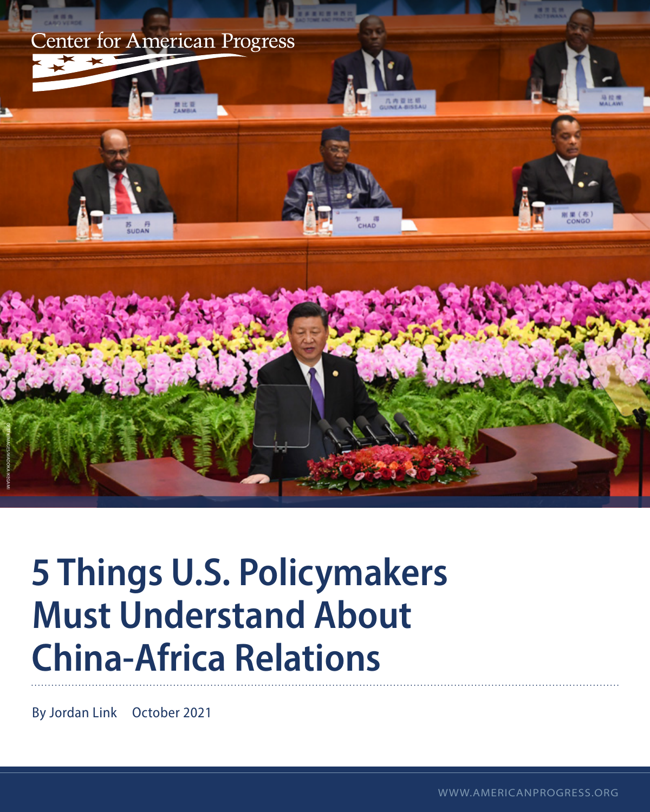

# **5 Things U.S. Policymakers Must Understand About China-Africa Relations**

By Jordan Link October 2021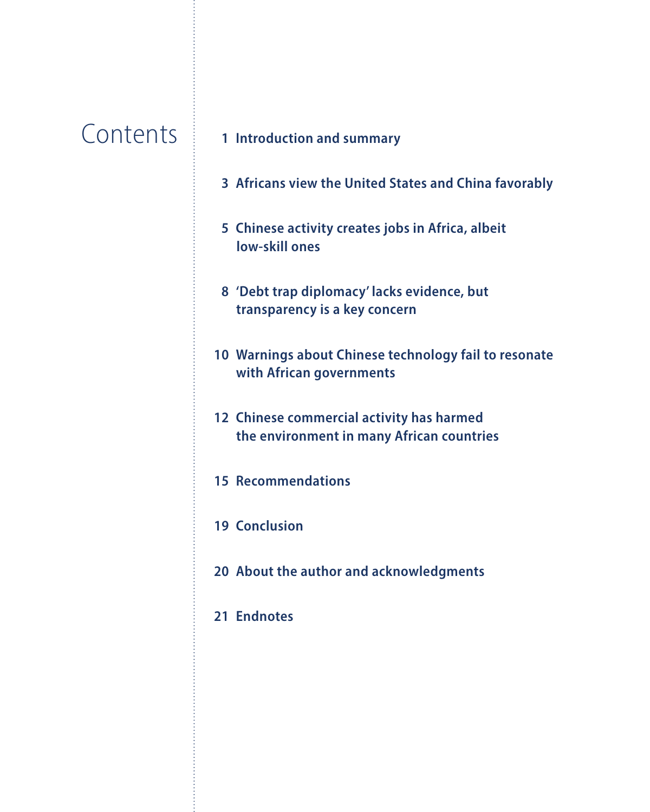### **Contents**

### **Introduction and summary**

- **Africans view the United States and China favorably**
- **Chinese activity creates jobs in Africa, albeit low-skill ones**
- **'Debt trap diplomacy' lacks evidence, but transparency is a key concern**
- **Warnings about Chinese technology fail to resonate with African governments**
- **Chinese commercial activity has harmed the environment in many African countries**
- **Recommendations**
- **Conclusion**
- **About the author and acknowledgments**
- **Endnotes**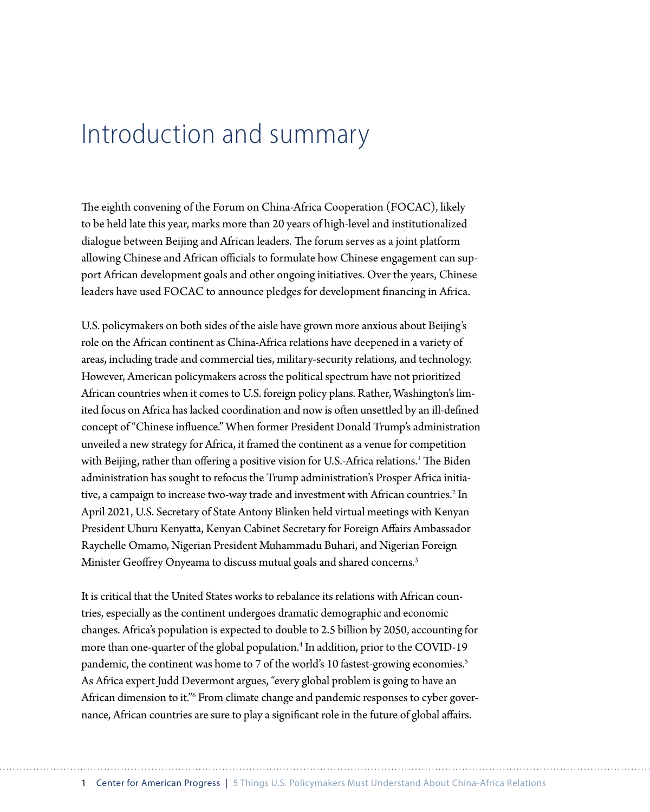### Introduction and summary

The eighth convening of the Forum on China-Africa Cooperation (FOCAC), likely to be held late this year, marks more than 20 years of high-level and institutionalized dialogue between Beijing and African leaders. The forum serves as a joint platform allowing Chinese and African officials to formulate how Chinese engagement can support African development goals and other ongoing initiatives. Over the years, Chinese leaders have used FOCAC to announce pledges for development financing in Africa.

U.S. policymakers on both sides of the aisle have grown more anxious about Beijing's role on the African continent as China-Africa relations have deepened in a variety of areas, including trade and commercial ties, military-security relations, and technology. However, American policymakers across the political spectrum have not prioritized African countries when it comes to U.S. foreign policy plans. Rather, Washington's limited focus on Africa has lacked coordination and now is often unsettled by an ill-defined concept of "Chinese influence." When former President Donald Trump's administration unveiled a new strategy for Africa, it framed the continent as a venue for competition with Beijing, rather than offering a positive vision for U.S.-Africa relations.<sup>1</sup> The Biden administration has sought to refocus the Trump administration's Prosper Africa initiative, a campaign to increase two-way trade and investment with African countries.<sup>2</sup> In April 2021, U.S. Secretary of State Antony Blinken held virtual meetings with Kenyan President Uhuru Kenyatta, Kenyan Cabinet Secretary for Foreign Affairs Ambassador Raychelle Omamo, Nigerian President Muhammadu Buhari, and Nigerian Foreign Minister Geoffrey Onyeama to discuss mutual goals and shared concerns.<sup>3</sup>

It is critical that the United States works to rebalance its relations with African countries, especially as the continent undergoes dramatic demographic and economic changes. Africa's population is expected to double to 2.5 billion by 2050, accounting for more than one-quarter of the global population.<sup>4</sup> In addition, prior to the COVID-19 pandemic, the continent was home to 7 of the world's 10 fastest-growing economies.<sup>5</sup> As Africa expert Judd Devermont argues, "every global problem is going to have an African dimension to it."<sup>6</sup> From climate change and pandemic responses to cyber governance, African countries are sure to play a significant role in the future of global affairs.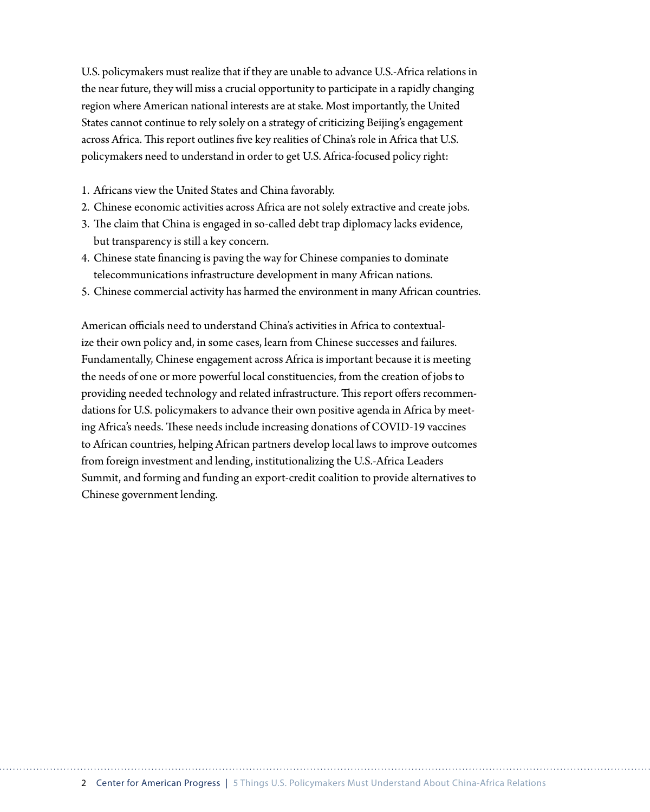U.S. policymakers must realize that if they are unable to advance U.S.-Africa relations in the near future, they will miss a crucial opportunity to participate in a rapidly changing region where American national interests are at stake. Most importantly, the United States cannot continue to rely solely on a strategy of criticizing Beijing's engagement across Africa. This report outlines five key realities of China's role in Africa that U.S. policymakers need to understand in order to get U.S. Africa-focused policy right:

1. Africans view the United States and China favorably.

- 2. Chinese economic activities across Africa are not solely extractive and create jobs.
- 3. The claim that China is engaged in so-called debt trap diplomacy lacks evidence, but transparency is still a key concern.
- 4. Chinese state financing is paving the way for Chinese companies to dominate telecommunications infrastructure development in many African nations.
- 5. Chinese commercial activity has harmed the environment in many African countries.

American officials need to understand China's activities in Africa to contextualize their own policy and, in some cases, learn from Chinese successes and failures. Fundamentally, Chinese engagement across Africa is important because it is meeting the needs of one or more powerful local constituencies, from the creation of jobs to providing needed technology and related infrastructure. This report offers recommendations for U.S. policymakers to advance their own positive agenda in Africa by meeting Africa's needs. These needs include increasing donations of COVID-19 vaccines to African countries, helping African partners develop local laws to improve outcomes from foreign investment and lending, institutionalizing the U.S.-Africa Leaders Summit, and forming and funding an export-credit coalition to provide alternatives to Chinese government lending.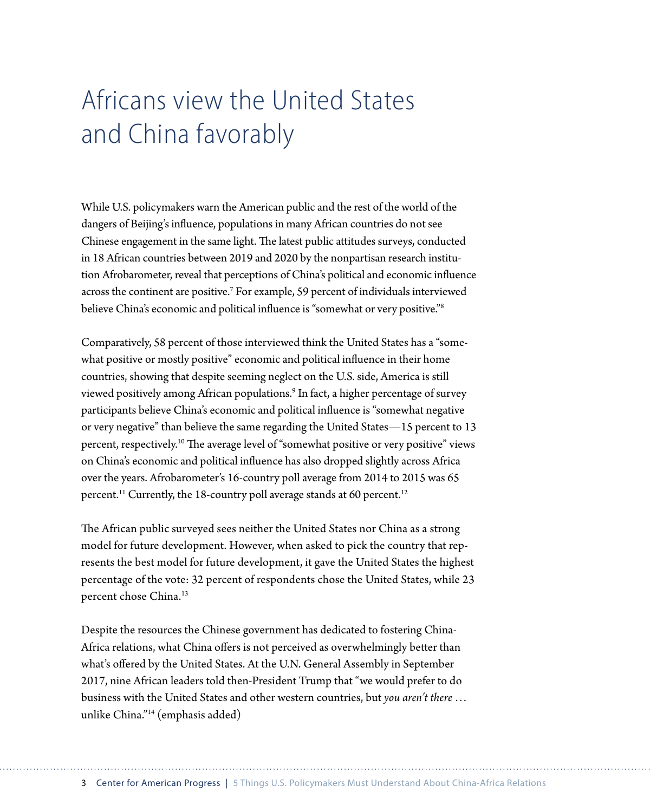# Africans view the United States and China favorably

While U.S. policymakers warn the American public and the rest of the world of the dangers of Beijing's influence, populations in many African countries do not see Chinese engagement in the same light. The latest public attitudes surveys, conducted in 18 African countries between 2019 and 2020 by the nonpartisan research institution Afrobarometer, reveal that perceptions of China's political and economic influence across the continent are positive.<sup>7</sup> For example, 59 percent of individuals interviewed believe China's economic and political influence is "somewhat or very positive."<sup>8</sup>

Comparatively, 58 percent of those interviewed think the United States has a "somewhat positive or mostly positive" economic and political influence in their home countries, showing that despite seeming neglect on the U.S. side, America is still viewed positively among African populations.<sup>9</sup> In fact, a higher percentage of survey participants believe China's economic and political influence is "somewhat negative or very negative" than believe the same regarding the United States—15 percent to 13 percent, respectively.<sup>10</sup> The average level of "somewhat positive or very positive" views on China's economic and political influence has also dropped slightly across Africa over the years. Afrobarometer's 16-country poll average from 2014 to 2015 was 65 percent.<sup>11</sup> Currently, the 18-country poll average stands at 60 percent.<sup>12</sup>

The African public surveyed sees neither the United States nor China as a strong model for future development. However, when asked to pick the country that represents the best model for future development, it gave the United States the highest percentage of the vote: 32 percent of respondents chose the United States, while 23 percent chose China.<sup>13</sup>

Despite the resources the Chinese government has dedicated to fostering China-Africa relations, what China offers is not perceived as overwhelmingly better than what's offered by the United States. At the U.N. General Assembly in September 2017, nine African leaders told then-President Trump that "we would prefer to do business with the United States and other western countries, but *you aren't there* … unlike China."14 (emphasis added)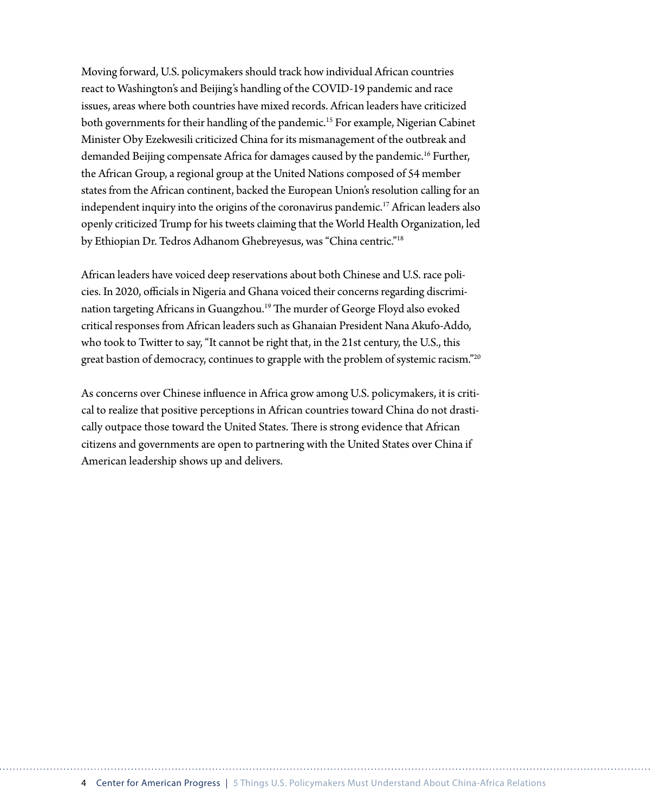Moving forward, U.S. policymakers should track how individual African countries react to Washington's and Beijing's handling of the COVID-19 pandemic and race issues, areas where both countries have mixed records. African leaders have criticized both governments for their handling of the pandemic.15 For example, Nigerian Cabinet Minister Oby Ezekwesili criticized China for its mismanagement of the outbreak and demanded Beijing compensate Africa for damages caused by the pandemic.<sup>16</sup> Further, the African Group, a regional group at the United Nations composed of 54 member states from the African continent, backed the European Union's resolution calling for an independent inquiry into the origins of the coronavirus pandemic.17 African leaders also openly criticized Trump for his tweets claiming that the World Health Organization, led by Ethiopian Dr. Tedros Adhanom Ghebreyesus, was "China centric."18

African leaders have voiced deep reservations about both Chinese and U.S. race policies. In 2020, officials in Nigeria and Ghana voiced their concerns regarding discrimination targeting Africans in Guangzhou.<sup>19</sup> The murder of George Floyd also evoked critical responses from African leaders such as Ghanaian President Nana Akufo-Addo, who took to Twitter to say, "It cannot be right that, in the 21st century, the U.S., this great bastion of democracy, continues to grapple with the problem of systemic racism."<sup>20</sup>

As concerns over Chinese influence in Africa grow among U.S. policymakers, it is critical to realize that positive perceptions in African countries toward China do not drastically outpace those toward the United States. There is strong evidence that African citizens and governments are open to partnering with the United States over China if American leadership shows up and delivers.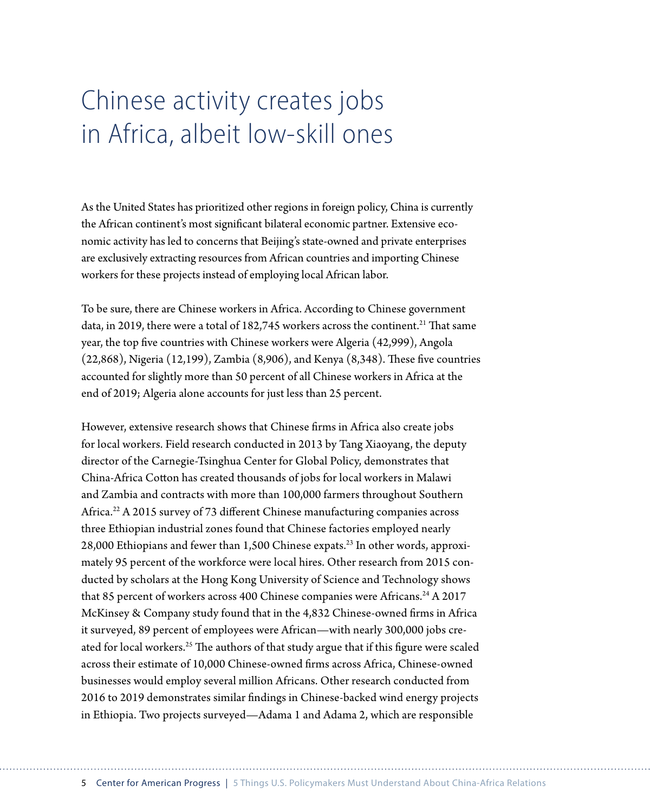## Chinese activity creates jobs in Africa, albeit low-skill ones

As the United States has prioritized other regions in foreign policy, China is currently the African continent's most significant bilateral economic partner. Extensive economic activity has led to concerns that Beijing's state-owned and private enterprises are exclusively extracting resources from African countries and importing Chinese workers for these projects instead of employing local African labor.

To be sure, there are Chinese workers in Africa. According to Chinese government data, in 2019, there were a total of  $182,745$  workers across the continent.<sup>21</sup> That same year, the top five countries with Chinese workers were Algeria (42,999), Angola (22,868), Nigeria (12,199), Zambia (8,906), and Kenya (8,348). These five countries accounted for slightly more than 50 percent of all Chinese workers in Africa at the end of 2019; Algeria alone accounts for just less than 25 percent.

However, extensive research shows that Chinese firms in Africa also create jobs for local workers. Field research conducted in 2013 by Tang Xiaoyang, the deputy director of the Carnegie-Tsinghua Center for Global Policy, demonstrates that China-Africa Cotton has created thousands of jobs for local workers in Malawi and Zambia and contracts with more than 100,000 farmers throughout Southern Africa.<sup>22</sup> A 2015 survey of 73 different Chinese manufacturing companies across three Ethiopian industrial zones found that Chinese factories employed nearly 28,000 Ethiopians and fewer than 1,500 Chinese expats.23 In other words, approximately 95 percent of the workforce were local hires. Other research from 2015 conducted by scholars at the Hong Kong University of Science and Technology shows that 85 percent of workers across 400 Chinese companies were Africans.<sup>24</sup> A 2017 McKinsey & Company study found that in the 4,832 Chinese-owned firms in Africa it surveyed, 89 percent of employees were African—with nearly 300,000 jobs created for local workers.<sup>25</sup> The authors of that study argue that if this figure were scaled across their estimate of 10,000 Chinese-owned firms across Africa, Chinese-owned businesses would employ several million Africans. Other research conducted from 2016 to 2019 demonstrates similar findings in Chinese-backed wind energy projects in Ethiopia. Two projects surveyed—Adama 1 and Adama 2, which are responsible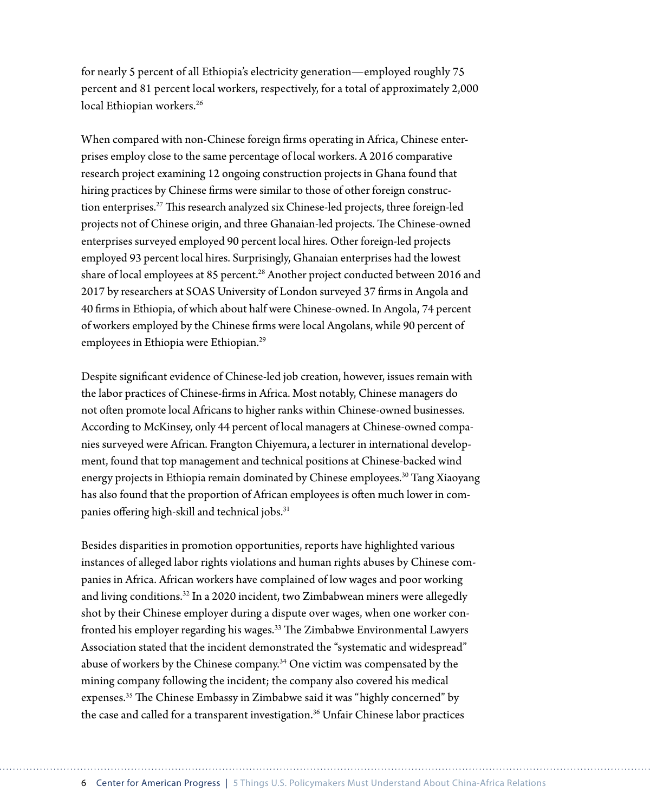for nearly 5 percent of all Ethiopia's electricity generation—employed roughly 75 percent and 81 percent local workers, respectively, for a total of approximately 2,000 local Ethiopian workers.<sup>26</sup>

When compared with non-Chinese foreign firms operating in Africa, Chinese enterprises employ close to the same percentage of local workers. A 2016 comparative research project examining 12 ongoing construction projects in Ghana found that hiring practices by Chinese firms were similar to those of other foreign construction enterprises.27 This research analyzed six Chinese-led projects, three foreign-led projects not of Chinese origin, and three Ghanaian-led projects. The Chinese-owned enterprises surveyed employed 90 percent local hires. Other foreign-led projects employed 93 percent local hires. Surprisingly, Ghanaian enterprises had the lowest share of local employees at 85 percent.<sup>28</sup> Another project conducted between 2016 and 2017 by researchers at SOAS University of London surveyed 37 firms in Angola and 40 firms in Ethiopia, of which about half were Chinese-owned. In Angola, 74 percent of workers employed by the Chinese firms were local Angolans, while 90 percent of employees in Ethiopia were Ethiopian.<sup>29</sup>

Despite significant evidence of Chinese-led job creation, however, issues remain with the labor practices of Chinese-firms in Africa. Most notably, Chinese managers do not often promote local Africans to higher ranks within Chinese-owned businesses. According to McKinsey, only 44 percent of local managers at Chinese-owned companies surveyed were African. Frangton Chiyemura, a lecturer in international development, found that top management and technical positions at Chinese-backed wind energy projects in Ethiopia remain dominated by Chinese employees.30 Tang Xiaoyang has also found that the proportion of African employees is often much lower in companies offering high-skill and technical jobs.<sup>31</sup>

Besides disparities in promotion opportunities, reports have highlighted various instances of alleged labor rights violations and human rights abuses by Chinese companies in Africa. African workers have complained of low wages and poor working and living conditions.32 In a 2020 incident, two Zimbabwean miners were allegedly shot by their Chinese employer during a dispute over wages, when one worker confronted his employer regarding his wages.<sup>33</sup> The Zimbabwe Environmental Lawyers Association stated that the incident demonstrated the "systematic and widespread" abuse of workers by the Chinese company.34 One victim was compensated by the mining company following the incident; the company also covered his medical expenses.<sup>35</sup> The Chinese Embassy in Zimbabwe said it was "highly concerned" by the case and called for a transparent investigation.<sup>36</sup> Unfair Chinese labor practices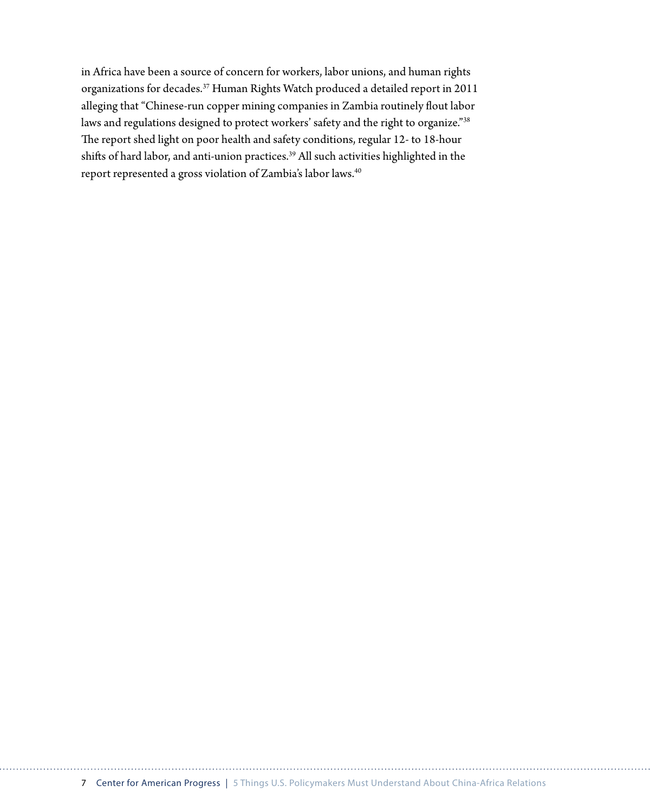in Africa have been a source of concern for workers, labor unions, and human rights organizations for decades.37 Human Rights Watch produced a detailed report in 2011 alleging that "Chinese-run copper mining companies in Zambia routinely flout labor laws and regulations designed to protect workers' safety and the right to organize."38 The report shed light on poor health and safety conditions, regular 12- to 18-hour shifts of hard labor, and anti-union practices.<sup>39</sup> All such activities highlighted in the report represented a gross violation of Zambia's labor laws.<sup>40</sup>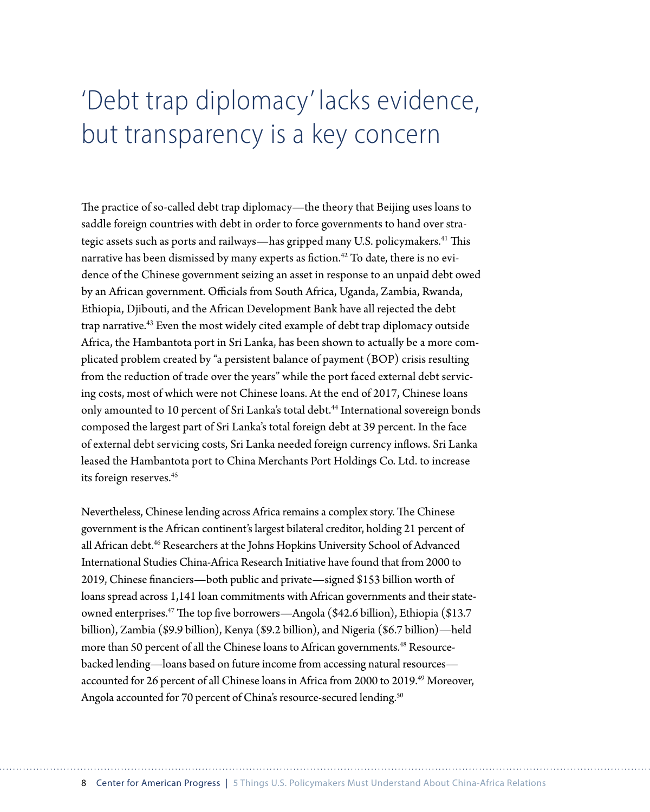# 'Debt trap diplomacy' lacks evidence, but transparency is a key concern

The practice of so-called debt trap diplomacy—the theory that Beijing uses loans to saddle foreign countries with debt in order to force governments to hand over strategic assets such as ports and railways—has gripped many U.S. policymakers.<sup>41</sup> This narrative has been dismissed by many experts as fiction.<sup>42</sup> To date, there is no evidence of the Chinese government seizing an asset in response to an unpaid debt owed by an African government. Officials from South Africa, Uganda, Zambia, Rwanda, Ethiopia, Djibouti, and the African Development Bank have all rejected the debt trap narrative.<sup>43</sup> Even the most widely cited example of debt trap diplomacy outside Africa, the Hambantota port in Sri Lanka, has been shown to actually be a more complicated problem created by "a persistent balance of payment (BOP) crisis resulting from the reduction of trade over the years" while the port faced external debt servicing costs, most of which were not Chinese loans. At the end of 2017, Chinese loans only amounted to 10 percent of Sri Lanka's total debt.<sup>44</sup> International sovereign bonds composed the largest part of Sri Lanka's total foreign debt at 39 percent. In the face of external debt servicing costs, Sri Lanka needed foreign currency inflows. Sri Lanka leased the Hambantota port to China Merchants Port Holdings Co. Ltd. to increase its foreign reserves.<sup>45</sup>

Nevertheless, Chinese lending across Africa remains a complex story. The Chinese government is the African continent's largest bilateral creditor, holding 21 percent of all African debt.<sup>46</sup> Researchers at the Johns Hopkins University School of Advanced International Studies China-Africa Research Initiative have found that from 2000 to 2019, Chinese financiers—both public and private—signed \$153 billion worth of loans spread across 1,141 loan commitments with African governments and their stateowned enterprises.47 The top five borrowers—Angola (\$42.6 billion), Ethiopia (\$13.7 billion), Zambia (\$9.9 billion), Kenya (\$9.2 billion), and Nigeria (\$6.7 billion)—held more than 50 percent of all the Chinese loans to African governments.<sup>48</sup> Resourcebacked lending—loans based on future income from accessing natural resources accounted for 26 percent of all Chinese loans in Africa from 2000 to 2019.<sup>49</sup> Moreover, Angola accounted for 70 percent of China's resource-secured lending.<sup>50</sup>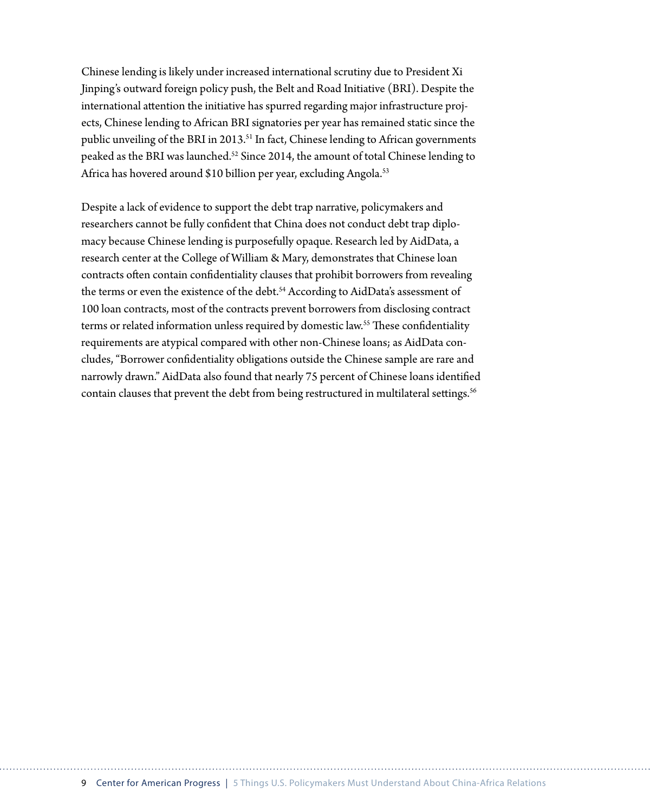Chinese lending is likely under increased international scrutiny due to President Xi Jinping's outward foreign policy push, the Belt and Road Initiative (BRI). Despite the international attention the initiative has spurred regarding major infrastructure projects, Chinese lending to African BRI signatories per year has remained static since the public unveiling of the BRI in 2013.<sup>51</sup> In fact, Chinese lending to African governments peaked as the BRI was launched.52 Since 2014, the amount of total Chinese lending to Africa has hovered around \$10 billion per year, excluding Angola.<sup>53</sup>

Despite a lack of evidence to support the debt trap narrative, policymakers and researchers cannot be fully confident that China does not conduct debt trap diplomacy because Chinese lending is purposefully opaque. Research led by AidData, a research center at the College of William & Mary, demonstrates that Chinese loan contracts often contain confidentiality clauses that prohibit borrowers from revealing the terms or even the existence of the debt.<sup>54</sup> According to AidData's assessment of 100 loan contracts, most of the contracts prevent borrowers from disclosing contract terms or related information unless required by domestic law.<sup>55</sup> These confidentiality requirements are atypical compared with other non-Chinese loans; as AidData concludes, "Borrower confidentiality obligations outside the Chinese sample are rare and narrowly drawn." AidData also found that nearly 75 percent of Chinese loans identified contain clauses that prevent the debt from being restructured in multilateral settings.<sup>56</sup>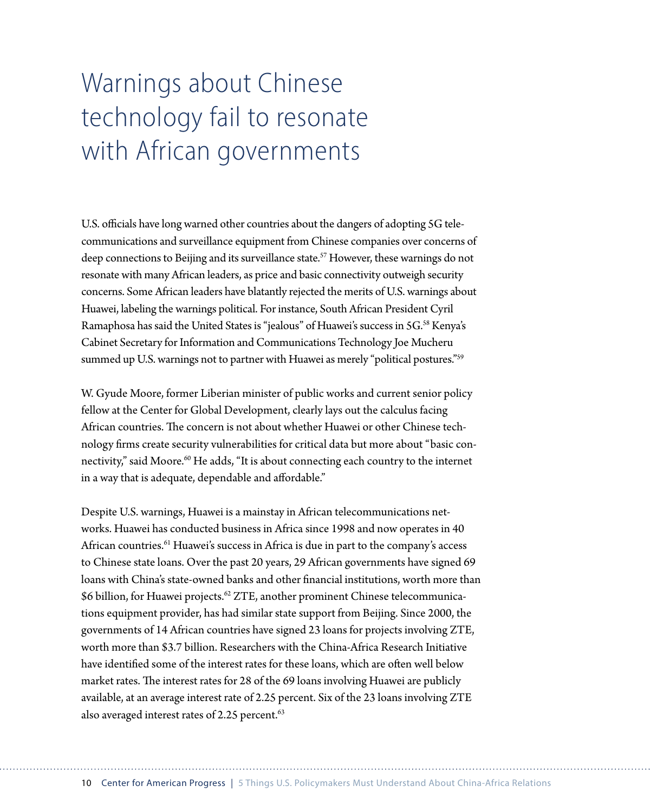# Warnings about Chinese technology fail to resonate with African governments

U.S. officials have long warned other countries about the dangers of adopting 5G telecommunications and surveillance equipment from Chinese companies over concerns of deep connections to Beijing and its surveillance state.<sup>57</sup> However, these warnings do not resonate with many African leaders, as price and basic connectivity outweigh security concerns. Some African leaders have blatantly rejected the merits of U.S. warnings about Huawei, labeling the warnings political. For instance, South African President Cyril Ramaphosa has said the United States is "jealous" of Huawei's success in 5G.58 Kenya's Cabinet Secretary for Information and Communications Technology Joe Mucheru summed up U.S. warnings not to partner with Huawei as merely "political postures."<sup>59</sup>

W. Gyude Moore, former Liberian minister of public works and current senior policy fellow at the Center for Global Development, clearly lays out the calculus facing African countries. The concern is not about whether Huawei or other Chinese technology firms create security vulnerabilities for critical data but more about "basic connectivity," said Moore.<sup>60</sup> He adds, "It is about connecting each country to the internet in a way that is adequate, dependable and affordable."

Despite U.S. warnings, Huawei is a mainstay in African telecommunications networks. Huawei has conducted business in Africa since 1998 and now operates in 40 African countries.<sup>61</sup> Huawei's success in Africa is due in part to the company's access to Chinese state loans. Over the past 20 years, 29 African governments have signed 69 loans with China's state-owned banks and other financial institutions, worth more than \$6 billion, for Huawei projects.<sup>62</sup> ZTE, another prominent Chinese telecommunications equipment provider, has had similar state support from Beijing. Since 2000, the governments of 14 African countries have signed 23 loans for projects involving ZTE, worth more than \$3.7 billion. Researchers with the China-Africa Research Initiative have identified some of the interest rates for these loans, which are often well below market rates. The interest rates for 28 of the 69 loans involving Huawei are publicly available, at an average interest rate of 2.25 percent. Six of the 23 loans involving ZTE also averaged interest rates of 2.25 percent.<sup>63</sup>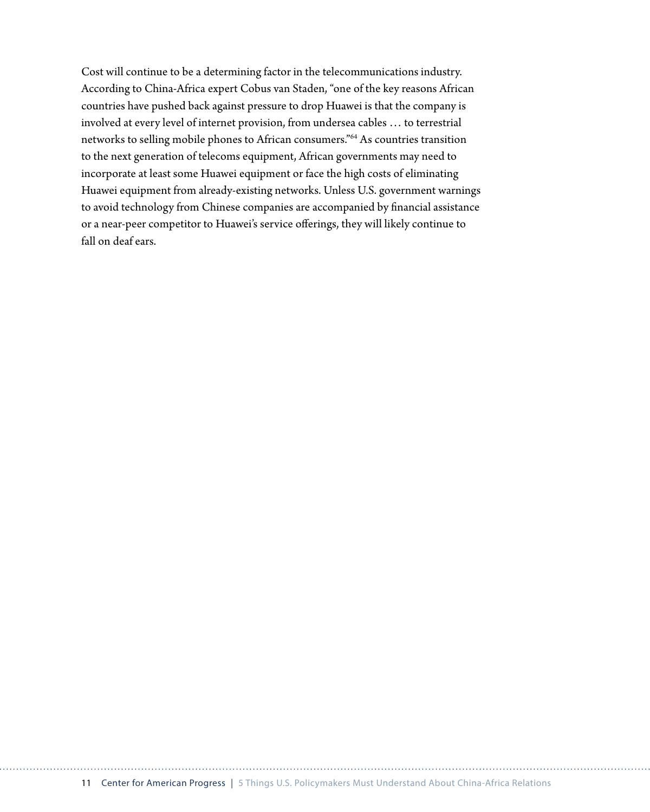Cost will continue to be a determining factor in the telecommunications industry. According to China-Africa expert Cobus van Staden, "one of the key reasons African countries have pushed back against pressure to drop Huawei is that the company is involved at every level of internet provision, from undersea cables … to terrestrial networks to selling mobile phones to African consumers."64 As countries transition to the next generation of telecoms equipment, African governments may need to incorporate at least some Huawei equipment or face the high costs of eliminating Huawei equipment from already-existing networks. Unless U.S. government warnings to avoid technology from Chinese companies are accompanied by financial assistance or a near-peer competitor to Huawei's service offerings, they will likely continue to fall on deaf ears.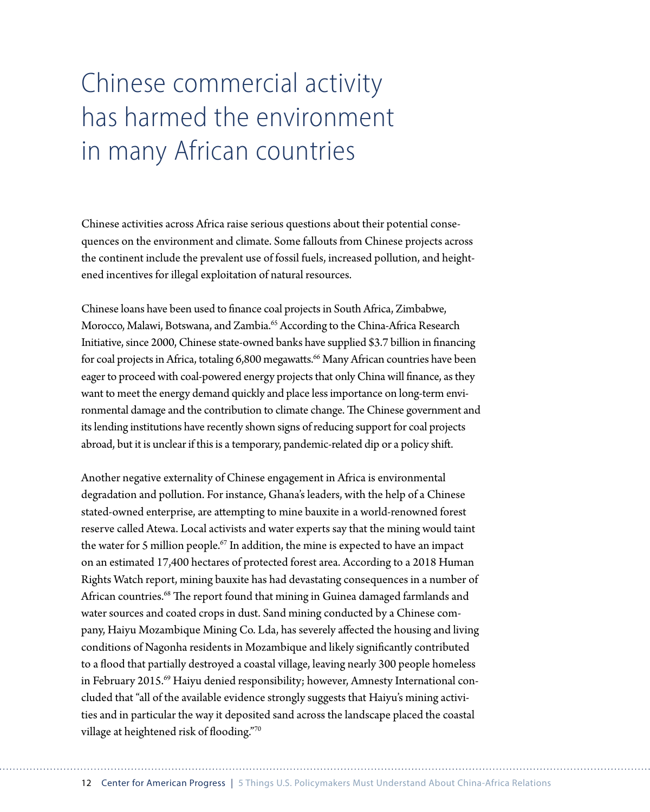# Chinese commercial activity has harmed the environment in many African countries

Chinese activities across Africa raise serious questions about their potential consequences on the environment and climate. Some fallouts from Chinese projects across the continent include the prevalent use of fossil fuels, increased pollution, and heightened incentives for illegal exploitation of natural resources.

Chinese loans have been used to finance coal projects in South Africa, Zimbabwe, Morocco, Malawi, Botswana, and Zambia.65 According to the China-Africa Research Initiative, since 2000, Chinese state-owned banks have supplied \$3.7 billion in financing for coal projects in Africa, totaling 6,800 megawatts.<sup>66</sup> Many African countries have been eager to proceed with coal-powered energy projects that only China will finance, as they want to meet the energy demand quickly and place less importance on long-term environmental damage and the contribution to climate change. The Chinese government and its lending institutions have recently shown signs of reducing support for coal projects abroad, but it is unclear if this is a temporary, pandemic-related dip or a policy shift.

Another negative externality of Chinese engagement in Africa is environmental degradation and pollution. For instance, Ghana's leaders, with the help of a Chinese stated-owned enterprise, are attempting to mine bauxite in a world-renowned forest reserve called Atewa. Local activists and water experts say that the mining would taint the water for 5 million people.<sup>67</sup> In addition, the mine is expected to have an impact on an estimated 17,400 hectares of protected forest area. According to a 2018 Human Rights Watch report, mining bauxite has had devastating consequences in a number of African countries.68 The report found that mining in Guinea damaged farmlands and water sources and coated crops in dust. Sand mining conducted by a Chinese company, Haiyu Mozambique Mining Co. Lda, has severely affected the housing and living conditions of Nagonha residents in Mozambique and likely significantly contributed to a flood that partially destroyed a coastal village, leaving nearly 300 people homeless in February 2015.<sup>69</sup> Haiyu denied responsibility; however, Amnesty International concluded that "all of the available evidence strongly suggests that Haiyu's mining activities and in particular the way it deposited sand across the landscape placed the coastal village at heightened risk of flooding."70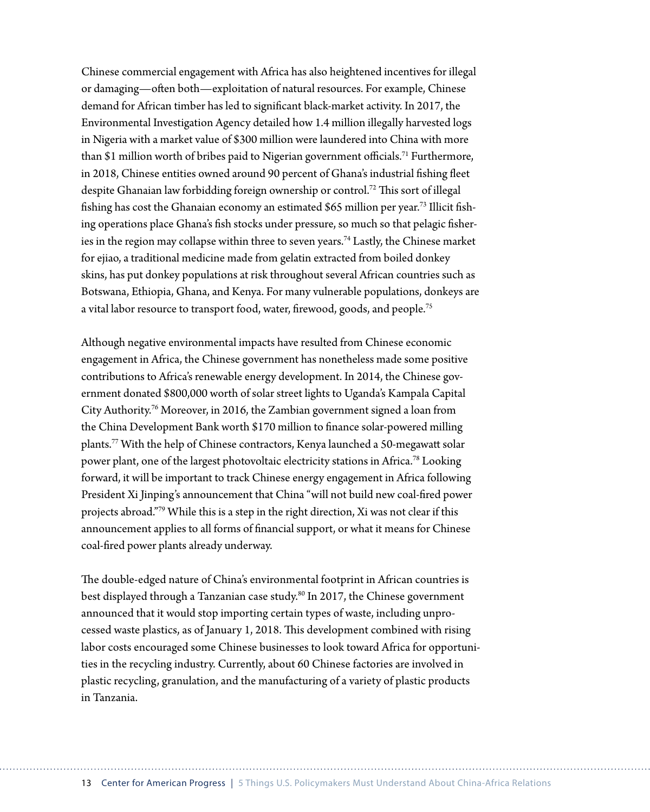Chinese commercial engagement with Africa has also heightened incentives for illegal or damaging—often both—exploitation of natural resources. For example, Chinese demand for African timber has led to significant black-market activity. In 2017, the Environmental Investigation Agency detailed how 1.4 million illegally harvested logs in Nigeria with a market value of \$300 million were laundered into China with more than \$1 million worth of bribes paid to Nigerian government officials.<sup>71</sup> Furthermore, in 2018, Chinese entities owned around 90 percent of Ghana's industrial fishing fleet despite Ghanaian law forbidding foreign ownership or control.72 This sort of illegal fishing has cost the Ghanaian economy an estimated \$65 million per year.73 Illicit fishing operations place Ghana's fish stocks under pressure, so much so that pelagic fisheries in the region may collapse within three to seven years.74 Lastly, the Chinese market for ejiao, a traditional medicine made from gelatin extracted from boiled donkey skins, has put donkey populations at risk throughout several African countries such as Botswana, Ethiopia, Ghana, and Kenya. For many vulnerable populations, donkeys are a vital labor resource to transport food, water, firewood, goods, and people.<sup>75</sup>

Although negative environmental impacts have resulted from Chinese economic engagement in Africa, the Chinese government has nonetheless made some positive contributions to Africa's renewable energy development. In 2014, the Chinese government donated \$800,000 worth of solar street lights to Uganda's Kampala Capital City Authority.76 Moreover, in 2016, the Zambian government signed a loan from the China Development Bank worth \$170 million to finance solar-powered milling plants.77 With the help of Chinese contractors, Kenya launched a 50-megawatt solar power plant, one of the largest photovoltaic electricity stations in Africa.<sup>78</sup> Looking forward, it will be important to track Chinese energy engagement in Africa following President Xi Jinping's announcement that China "will not build new coal-fired power projects abroad."79 While this is a step in the right direction, Xi was not clear if this announcement applies to all forms of financial support, or what it means for Chinese coal-fired power plants already underway.

The double-edged nature of China's environmental footprint in African countries is best displayed through a Tanzanian case study.<sup>80</sup> In 2017, the Chinese government announced that it would stop importing certain types of waste, including unprocessed waste plastics, as of January 1, 2018. This development combined with rising labor costs encouraged some Chinese businesses to look toward Africa for opportunities in the recycling industry. Currently, about 60 Chinese factories are involved in plastic recycling, granulation, and the manufacturing of a variety of plastic products in Tanzania.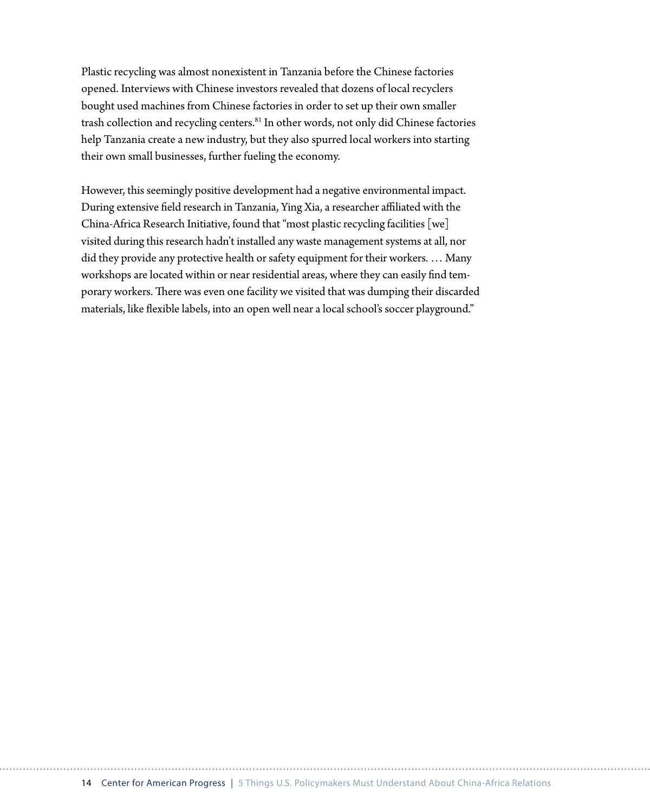Plastic recycling was almost nonexistent in Tanzania before the Chinese factories opened. Interviews with Chinese investors revealed that dozens of local recyclers bought used machines from Chinese factories in order to set up their own smaller trash collection and recycling centers.<sup>81</sup> In other words, not only did Chinese factories help Tanzania create a new industry, but they also spurred local workers into starting their own small businesses, further fueling the economy.

However, this seemingly positive development had a negative environmental impact. During extensive field research in Tanzania, Ying Xia, a researcher affiliated with the China-Africa Research Initiative, found that "most plastic recycling facilities [we] visited during this research hadn't installed any waste management systems at all, nor did they provide any protective health or safety equipment for their workers. … Many workshops are located within or near residential areas, where they can easily find temporary workers. There was even one facility we visited that was dumping their discarded materials, like flexible labels, into an open well near a local school's soccer playground."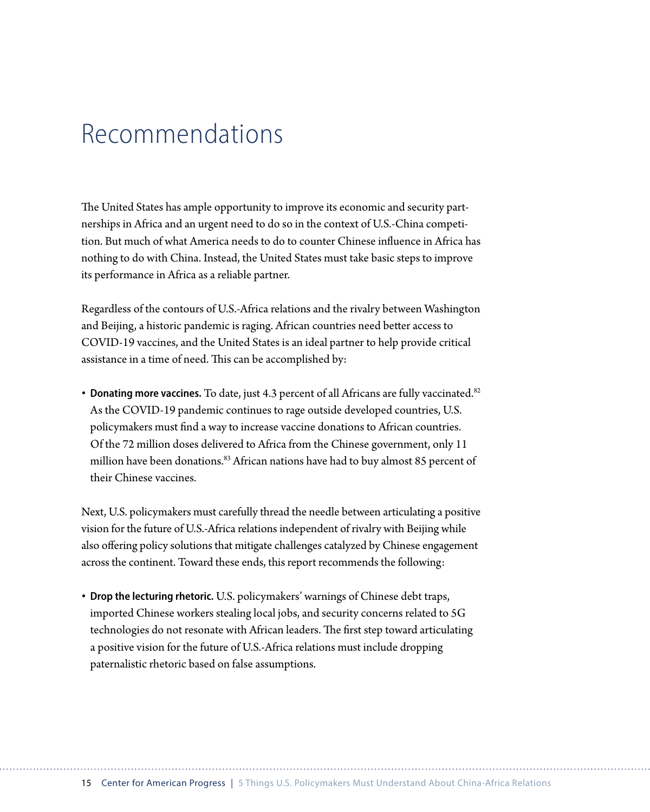### Recommendations

The United States has ample opportunity to improve its economic and security partnerships in Africa and an urgent need to do so in the context of U.S.-China competition. But much of what America needs to do to counter Chinese influence in Africa has nothing to do with China. Instead, the United States must take basic steps to improve its performance in Africa as a reliable partner.

Regardless of the contours of U.S.-Africa relations and the rivalry between Washington and Beijing, a historic pandemic is raging. African countries need better access to COVID-19 vaccines, and the United States is an ideal partner to help provide critical assistance in a time of need. This can be accomplished by:

• **Donating more vaccines.** To date, just 4.3 percent of all Africans are fully vaccinated.<sup>82</sup> As the COVID-19 pandemic continues to rage outside developed countries, U.S. policymakers must find a way to increase vaccine donations to African countries. Of the 72 million doses delivered to Africa from the Chinese government, only 11 million have been donations.<sup>83</sup> African nations have had to buy almost 85 percent of their Chinese vaccines.

Next, U.S. policymakers must carefully thread the needle between articulating a positive vision for the future of U.S.-Africa relations independent of rivalry with Beijing while also offering policy solutions that mitigate challenges catalyzed by Chinese engagement across the continent. Toward these ends, this report recommends the following:

• **Drop the lecturing rhetoric.** U.S. policymakers' warnings of Chinese debt traps, imported Chinese workers stealing local jobs, and security concerns related to 5G technologies do not resonate with African leaders. The first step toward articulating a positive vision for the future of U.S.-Africa relations must include dropping paternalistic rhetoric based on false assumptions.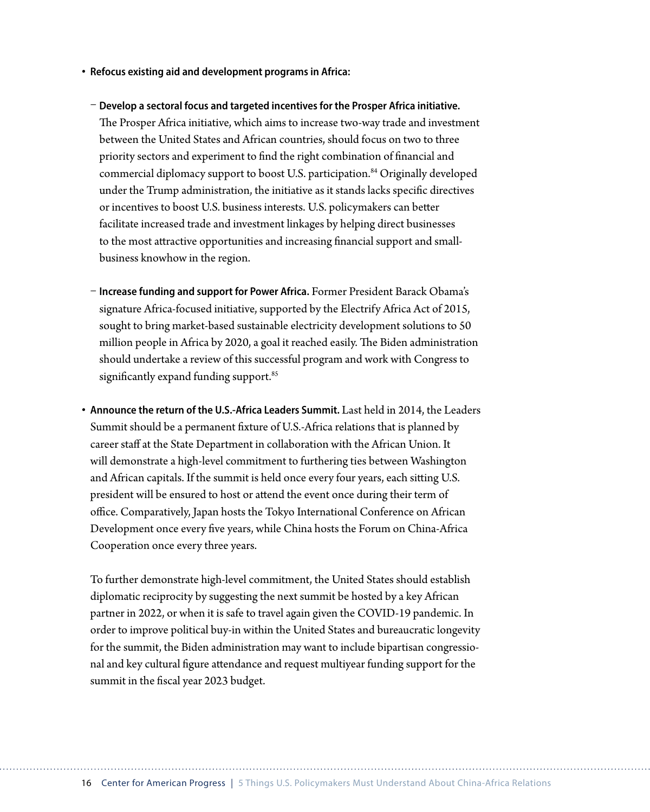- **Refocus existing aid and development programs in Africa:**
	- **Develop a sectoral focus and targeted incentives for the Prosper Africa initiative.**  The Prosper Africa initiative, which aims to increase two-way trade and investment between the United States and African countries, should focus on two to three priority sectors and experiment to find the right combination of financial and commercial diplomacy support to boost U.S. participation.<sup>84</sup> Originally developed under the Trump administration, the initiative as it stands lacks specific directives or incentives to boost U.S. business interests. U.S. policymakers can better facilitate increased trade and investment linkages by helping direct businesses to the most attractive opportunities and increasing financial support and smallbusiness knowhow in the region.
- **Increase funding and support for Power Africa.** Former President Barack Obama's signature Africa-focused initiative, supported by the Electrify Africa Act of 2015, sought to bring market-based sustainable electricity development solutions to 50 million people in Africa by 2020, a goal it reached easily. The Biden administration should undertake a review of this successful program and work with Congress to significantly expand funding support.<sup>85</sup>
- **Announce the return of the U.S.-Africa Leaders Summit.** Last held in 2014, the Leaders Summit should be a permanent fixture of U.S.-Africa relations that is planned by career staff at the State Department in collaboration with the African Union. It will demonstrate a high-level commitment to furthering ties between Washington and African capitals. If the summit is held once every four years, each sitting U.S. president will be ensured to host or attend the event once during their term of office. Comparatively, Japan hosts the Tokyo International Conference on African Development once every five years, while China hosts the Forum on China-Africa Cooperation once every three years.

To further demonstrate high-level commitment, the United States should establish diplomatic reciprocity by suggesting the next summit be hosted by a key African partner in 2022, or when it is safe to travel again given the COVID-19 pandemic. In order to improve political buy-in within the United States and bureaucratic longevity for the summit, the Biden administration may want to include bipartisan congressional and key cultural figure attendance and request multiyear funding support for the summit in the fiscal year 2023 budget.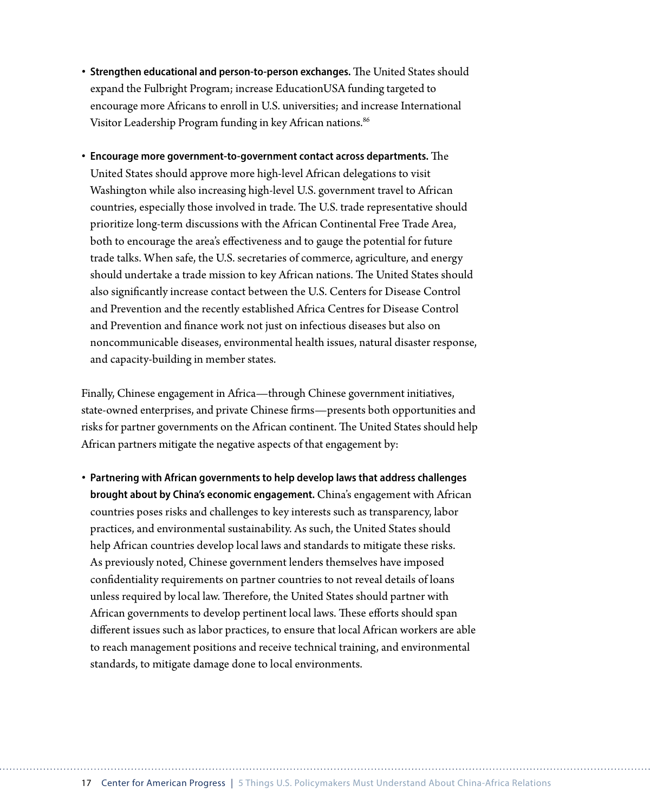- **Strengthen educational and person-to-person exchanges.** The United States should expand the Fulbright Program; increase EducationUSA funding targeted to encourage more Africans to enroll in U.S. universities; and increase International Visitor Leadership Program funding in key African nations.<sup>86</sup>
- **Encourage more government-to-government contact across departments.** The United States should approve more high-level African delegations to visit Washington while also increasing high-level U.S. government travel to African countries, especially those involved in trade. The U.S. trade representative should prioritize long-term discussions with the African Continental Free Trade Area, both to encourage the area's effectiveness and to gauge the potential for future trade talks. When safe, the U.S. secretaries of commerce, agriculture, and energy should undertake a trade mission to key African nations. The United States should also significantly increase contact between the U.S. Centers for Disease Control and Prevention and the recently established Africa Centres for Disease Control and Prevention and finance work not just on infectious diseases but also on noncommunicable diseases, environmental health issues, natural disaster response, and capacity-building in member states.

Finally, Chinese engagement in Africa—through Chinese government initiatives, state-owned enterprises, and private Chinese firms—presents both opportunities and risks for partner governments on the African continent. The United States should help African partners mitigate the negative aspects of that engagement by:

• **Partnering with African governments to help develop laws that address challenges brought about by China's economic engagement.** China's engagement with African countries poses risks and challenges to key interests such as transparency, labor practices, and environmental sustainability. As such, the United States should help African countries develop local laws and standards to mitigate these risks. As previously noted, Chinese government lenders themselves have imposed confidentiality requirements on partner countries to not reveal details of loans unless required by local law. Therefore, the United States should partner with African governments to develop pertinent local laws. These efforts should span different issues such as labor practices, to ensure that local African workers are able to reach management positions and receive technical training, and environmental standards, to mitigate damage done to local environments.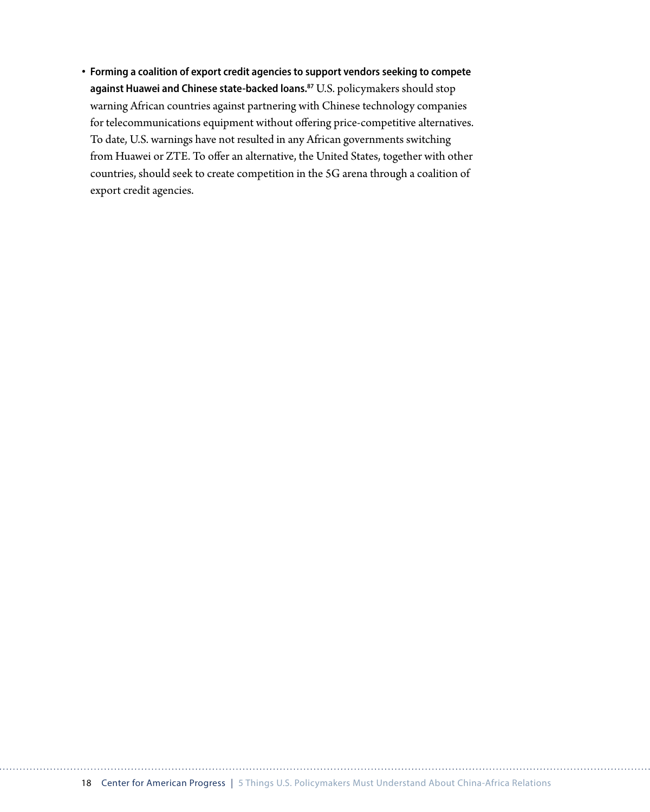• **Forming a coalition of export credit agencies to support vendors seeking to compete against Huawei and Chinese state-backed loans.87** U.S. policymakers should stop warning African countries against partnering with Chinese technology companies for telecommunications equipment without offering price-competitive alternatives. To date, U.S. warnings have not resulted in any African governments switching from Huawei or ZTE. To offer an alternative, the United States, together with other countries, should seek to create competition in the 5G arena through a coalition of export credit agencies.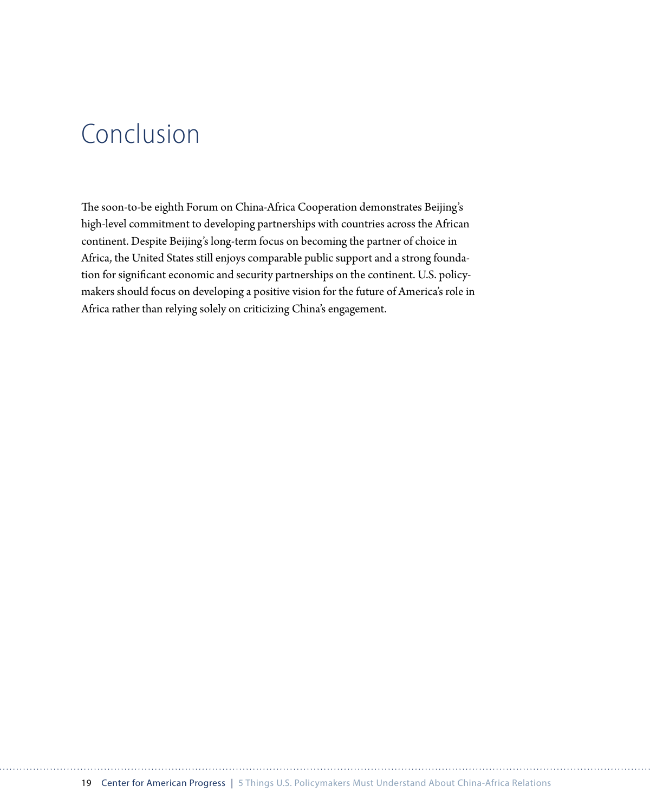### Conclusion

The soon-to-be eighth Forum on China-Africa Cooperation demonstrates Beijing's high-level commitment to developing partnerships with countries across the African continent. Despite Beijing's long-term focus on becoming the partner of choice in Africa, the United States still enjoys comparable public support and a strong foundation for significant economic and security partnerships on the continent. U.S. policymakers should focus on developing a positive vision for the future of America's role in Africa rather than relying solely on criticizing China's engagement.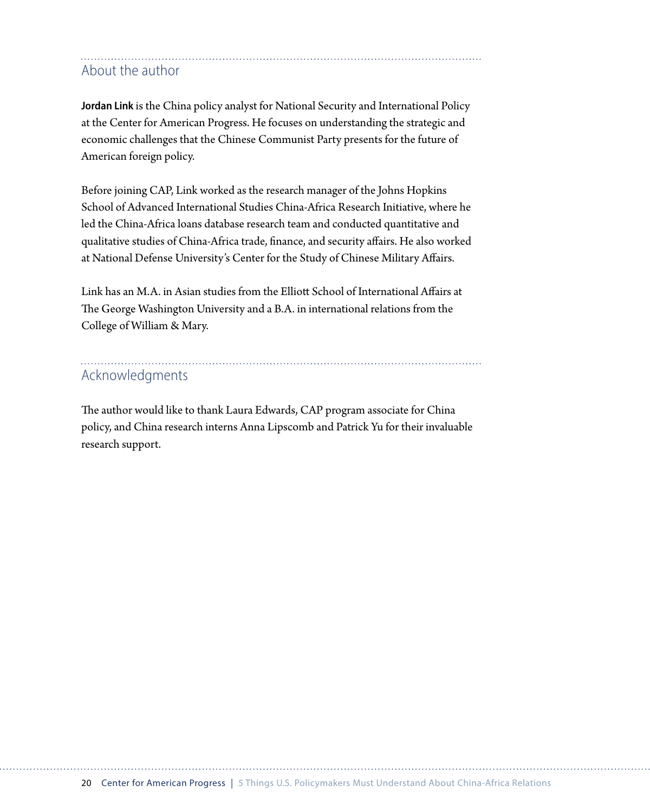### About the author

**Jordan Link** is the China policy analyst for National Security and International Policy at the Center for American Progress. He focuses on understanding the strategic and economic challenges that the Chinese Communist Party presents for the future of American foreign policy.

Before joining CAP, Link worked as the research manager of the Johns Hopkins School of Advanced International Studies China-Africa Research Initiative, where he led the China-Africa loans database research team and conducted quantitative and qualitative studies of China-Africa trade, finance, and security affairs. He also worked at National Defense University's Center for the Study of Chinese Military Affairs.

Link has an M.A. in Asian studies from the Elliott School of International Affairs at The George Washington University and a B.A. in international relations from the College of William & Mary.

### Acknowledgments

The author would like to thank Laura Edwards, CAP program associate for China policy, and China research interns Anna Lipscomb and Patrick Yu for their invaluable research support.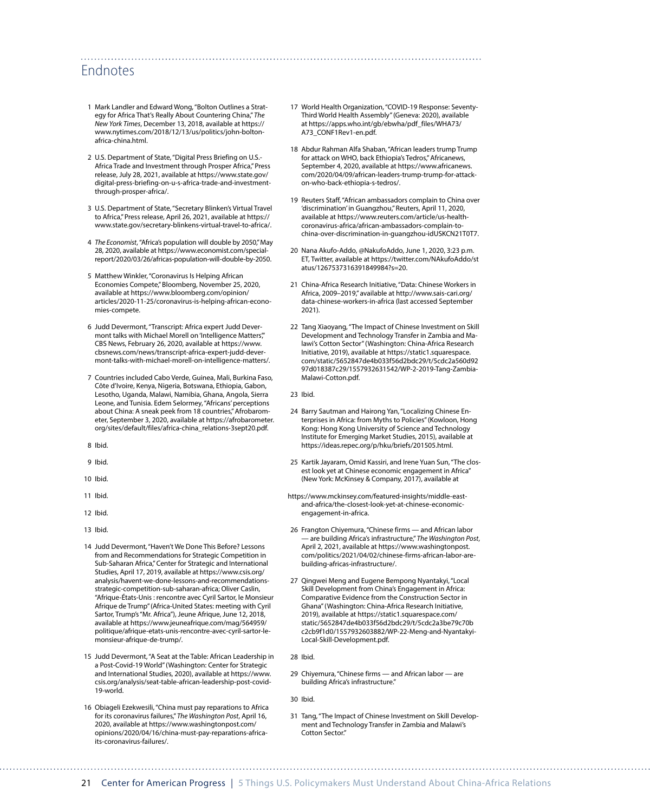#### Endnotes

- 1 Mark Landler and Edward Wong, "Bolton Outlines a Strategy for Africa That's Really About Countering China," *The New York Times*, December 13, 2018, available at [https://](https://www.nytimes.com/2018/12/13/us/politics/john-bolton-africa-china.html) [www.nytimes.com/2018/12/13/us/politics/john-bolton](https://www.nytimes.com/2018/12/13/us/politics/john-bolton-africa-china.html)[africa-china.html.](https://www.nytimes.com/2018/12/13/us/politics/john-bolton-africa-china.html)
- 2 U.S. Department of State, "Digital Press Briefing on U.S.- Africa Trade and Investment through Prosper Africa," Press release, July 28, 2021, available at [https://www.state.gov/](https://www.state.gov/digital-press-briefing-on-u-s-africa-trade-and-investment-through-prosper-africa/) [digital-press-briefing-on-u-s-africa-trade-and-investment](https://www.state.gov/digital-press-briefing-on-u-s-africa-trade-and-investment-through-prosper-africa/)[through-prosper-africa/](https://www.state.gov/digital-press-briefing-on-u-s-africa-trade-and-investment-through-prosper-africa/).
- 3 U.S. Department of State, "Secretary Blinken's Virtual Travel to Africa," Press release, April 26, 2021, available at [https://](https://www.state.gov/secretary-blinkens-virtual-travel-to-africa/) [www.state.gov/secretary-blinkens-virtual-travel-to-africa/](https://www.state.gov/secretary-blinkens-virtual-travel-to-africa/).
- 4 *The Economist*,"Africa's population will double by 2050," May 28, 2020, available at [https://www.economist.com/special](https://www.economist.com/special-report/2020/03/26/africas-population-will-double-by-2050)[report/2020/03/26/africas-population-will-double-by-2050](https://www.economist.com/special-report/2020/03/26/africas-population-will-double-by-2050).
- 5 Matthew Winkler, "Coronavirus Is Helping African Economies Compete," Bloomberg, November 25, 2020, available at [https://www.bloomberg.com/opinion/](https://www.bloomberg.com/opinion/articles/2020-11-25/coronavirus-is-helping-african-economies-compete) [articles/2020-11-25/coronavirus-is-helping-african-econo](https://www.bloomberg.com/opinion/articles/2020-11-25/coronavirus-is-helping-african-economies-compete)[mies-compete](https://www.bloomberg.com/opinion/articles/2020-11-25/coronavirus-is-helping-african-economies-compete).
- 6 Judd Devermont, "Transcript: Africa expert Judd Devermont talks with Michael Morell on 'Intelligence Matters" CBS News, February 26, 2020, available at [https://www.](https://www.cbsnews.com/news/transcript-africa-expert-judd-devermont-talks-with-michael-morell-on-intelligence-matters/) [cbsnews.com/news/transcript-africa-expert-judd-dever](https://www.cbsnews.com/news/transcript-africa-expert-judd-devermont-talks-with-michael-morell-on-intelligence-matters/)[mont-talks-with-michael-morell-on-intelligence-matters/](https://www.cbsnews.com/news/transcript-africa-expert-judd-devermont-talks-with-michael-morell-on-intelligence-matters/).
- 7 Countries included Cabo Verde, Guinea, Mali, Burkina Faso, Côte d'Ivoire, Kenya, Nigeria, Botswana, Ethiopia, Gabon, Lesotho, Uganda, Malawi, Namibia, Ghana, Angola, Sierra Leone, and Tunisia. Edem Selormey, "Africans' perceptions about China: A sneak peek from 18 countries," Afrobarometer, September 3, 2020, available at [https://afrobarometer.](https://afrobarometer.org/sites/default/files/africa-china_relations-3sept20.pdf) [org/sites/default/files/africa-china\\_relations-3sept20.pdf.](https://afrobarometer.org/sites/default/files/africa-china_relations-3sept20.pdf)
- 8 Ibid.
- 9 Ibid.
- 10 Ibid.
- 11 Ibid.
- 12 Ibid.
- 13 Ibid.
- 14 Judd Devermont, "Haven't We Done This Before? Lessons from and Recommendations for Strategic Competition in Sub-Saharan Africa," Center for Strategic and International Studies, April 17, 2019, available at [https://www.csis.org/](https://www.csis.org/analysis/havent-we-done-lessons-and-recommendations-strategic-competition-sub-saharan-africa) [analysis/havent-we-done-lessons-and-recommendations](https://www.csis.org/analysis/havent-we-done-lessons-and-recommendations-strategic-competition-sub-saharan-africa)[strategic-competition-sub-saharan-africa](https://www.csis.org/analysis/havent-we-done-lessons-and-recommendations-strategic-competition-sub-saharan-africa); Oliver Caslin, "Afrique-États-Unis : rencontre avec Cyril Sartor, le Monsieur Afrique de Trump" (Africa-United States: meeting with Cyril Sartor, Trump's "Mr. Africa"), Jeune Afrique, June 12, 2018, available at [https://www.jeuneafrique.com/mag/564959/](https://www.jeuneafrique.com/mag/564959/politique/afrique-etats-unis-rencontre-avec-cyril-sartor-le-monsieur-afrique-de-trump/) [politique/afrique-etats-unis-rencontre-avec-cyril-sartor-le](https://www.jeuneafrique.com/mag/564959/politique/afrique-etats-unis-rencontre-avec-cyril-sartor-le-monsieur-afrique-de-trump/)[monsieur-afrique-de-trump/.](https://www.jeuneafrique.com/mag/564959/politique/afrique-etats-unis-rencontre-avec-cyril-sartor-le-monsieur-afrique-de-trump/)
- 15 Judd Devermont, "A Seat at the Table: African Leadership in a Post-Covid-19 World" (Washington: Center for Strategic and International Studies, 2020), available at [https://www.](https://www.csis.org/analysis/seat-table-african-leadership-post-covid-19-world) [csis.org/analysis/seat-table-african-leadership-post-covid-](https://www.csis.org/analysis/seat-table-african-leadership-post-covid-19-world)[19-world](https://www.csis.org/analysis/seat-table-african-leadership-post-covid-19-world).
- 16 Obiageli Ezekwesili, "China must pay reparations to Africa for its coronavirus failures," *The Washington Post*, April 16, 2020, available at [https://www.washingtonpost.com/](https://www.washingtonpost.com/opinions/2020/04/16/china-must-pay-reparations-africa-its-coronavirus-failures/) [opinions/2020/04/16/china-must-pay-reparations-africa](https://www.washingtonpost.com/opinions/2020/04/16/china-must-pay-reparations-africa-its-coronavirus-failures/)[its-coronavirus-failures/.](https://www.washingtonpost.com/opinions/2020/04/16/china-must-pay-reparations-africa-its-coronavirus-failures/)
- 17 World Health Organization, "COVID-19 Response: Seventy-Third World Health Assembly" (Geneva: 2020), available a[t https://apps.who.int/gb/ebwha/pdf\\_files/WHA73/](https://apps.who.int/gb/ebwha/pdf_files/WHA73/A73_CONF1Rev1-en.pdf) [A73\\_CONF1Rev1-en.pdf](https://apps.who.int/gb/ebwha/pdf_files/WHA73/A73_CONF1Rev1-en.pdf).
- 18 Abdur Rahman Alfa Shaban, "African leaders trump Trump for attack on WHO, back Ethiopia's Tedros," Africanews, September 4, 2020, available at [https://www.africanews.](https://www.africanews.com/2020/04/09/african-leaders-trump-trump-for-attack-on-who-back-ethiopia-s-tedros/) [com/2020/04/09/african-leaders-trump-trump-for-attack](https://www.africanews.com/2020/04/09/african-leaders-trump-trump-for-attack-on-who-back-ethiopia-s-tedros/)[on-who-back-ethiopia-s-tedros/.](https://www.africanews.com/2020/04/09/african-leaders-trump-trump-for-attack-on-who-back-ethiopia-s-tedros/)
- 19 Reuters Staff, "African ambassadors complain to China over 'discrimination' in Guangzhou," Reuters, April 11, 2020, available at [https://www.reuters.com/article/us-health](https://www.reuters.com/article/us-health-coronavirus-africa/african-ambassadors-complain-to-china-over-discrimination-in-guangzhou-idUSKCN21T0T7)[coronavirus-africa/african-ambassadors-complain-to](https://www.reuters.com/article/us-health-coronavirus-africa/african-ambassadors-complain-to-china-over-discrimination-in-guangzhou-idUSKCN21T0T7)[china-over-discrimination-in-guangzhou-idUSKCN21T0T7](https://www.reuters.com/article/us-health-coronavirus-africa/african-ambassadors-complain-to-china-over-discrimination-in-guangzhou-idUSKCN21T0T7).
- 20 Nana Akufo-Addo, @NakufoAddo, June 1, 2020, 3:23 p.m. ET, Twitter, available at [https://twitter.com/NAkufoAddo/st](https://twitter.com/NAkufoAddo/status/1267537316391849984?s=20) [atus/1267537316391849984?s=20.](https://twitter.com/NAkufoAddo/status/1267537316391849984?s=20)
- 21 China-Africa Research Initiative, "Data: Chinese Workers in Africa, 2009–2019," available at [http://www.sais-cari.org/](http://www.sais-cari.org/data-chinese-workers-in-africa) [data-chinese-workers-in-africa](http://www.sais-cari.org/data-chinese-workers-in-africa) (last accessed September 2021).
- 22 Tang Xiaoyang, "The Impact of Chinese Investment on Skill Development and Technology Transfer in Zambia and Malawi's Cotton Sector" (Washington: China-Africa Research Initiative, 2019), available at [https://static1.squarespace.](https://static1.squarespace.com/static/5652847de4b033f56d2bdc29/t/5cdc2a560d9297d018387c29/1557932631542/WP-2-2019-Tang-Zambia-Malawi-Cotton.pdf) [com/static/5652847de4b033f56d2bdc29/t/5cdc2a560d92](https://static1.squarespace.com/static/5652847de4b033f56d2bdc29/t/5cdc2a560d9297d018387c29/1557932631542/WP-2-2019-Tang-Zambia-Malawi-Cotton.pdf) [97d018387c29/1557932631542/WP-2-2019-Tang-Zambia-](https://static1.squarespace.com/static/5652847de4b033f56d2bdc29/t/5cdc2a560d9297d018387c29/1557932631542/WP-2-2019-Tang-Zambia-Malawi-Cotton.pdf)[Malawi-Cotton.pdf.](https://static1.squarespace.com/static/5652847de4b033f56d2bdc29/t/5cdc2a560d9297d018387c29/1557932631542/WP-2-2019-Tang-Zambia-Malawi-Cotton.pdf)
- 23 Ibid.

- 24 Barry Sautman and Hairong Yan, "Localizing Chinese Enterprises in Africa: from Myths to Policies" (Kowloon, Hong Kong: Hong Kong University of Science and Technology Institute for Emerging Market Studies, 2015), available at <https://ideas.repec.org/p/hku/briefs/201505.html>.
- 25 Kartik Jayaram, Omid Kassiri, and Irene Yuan Sun, "The closest look yet at Chinese economic engagement in Africa" (New York: McKinsey & Company, 2017), available at
- [https://www.mckinsey.com/featured-insights/middle-east](https://www.mckinsey.com/featured-insights/middle-east-and-africa/the-closest-look-yet-at-chinese-economic-engagement-in-africa)[and-africa/the-closest-look-yet-at-chinese-economic](https://www.mckinsey.com/featured-insights/middle-east-and-africa/the-closest-look-yet-at-chinese-economic-engagement-in-africa)[engagement-in-africa.](https://www.mckinsey.com/featured-insights/middle-east-and-africa/the-closest-look-yet-at-chinese-economic-engagement-in-africa)
- 26 Frangton Chiyemura, "Chinese firms and African labor — are building Africa's infrastructure," *The Washington Post*, April 2, 2021, available at [https://www.washingtonpost.](https://www.washingtonpost.com/politics/2021/04/02/chinese-firms-african-labor-are-building-africas-infrastructure/) [com/politics/2021/04/02/chinese-firms-african-labor-are](https://www.washingtonpost.com/politics/2021/04/02/chinese-firms-african-labor-are-building-africas-infrastructure/)[building-africas-infrastructure/](https://www.washingtonpost.com/politics/2021/04/02/chinese-firms-african-labor-are-building-africas-infrastructure/).
- 27 Qingwei Meng and Eugene Bempong Nyantakyi, "Local Skill Development from China's Engagement in Africa: Comparative Evidence from the Construction Sector in Ghana" (Washington: China-Africa Research Initiative, 2019), available at [https://static1.squarespace.com/](https://static1.squarespace.com/static/5652847de4b033f56d2bdc29/t/5cdc2a3be79c70bc2cb9f1d0/1557932603882/WP-22-Meng-and-Nyantakyi-Local-Skill-Development.pdf) [static/5652847de4b033f56d2bdc29/t/5cdc2a3be79c70b](https://static1.squarespace.com/static/5652847de4b033f56d2bdc29/t/5cdc2a3be79c70bc2cb9f1d0/1557932603882/WP-22-Meng-and-Nyantakyi-Local-Skill-Development.pdf) [c2cb9f1d0/1557932603882/WP-22-Meng-and-Nyantakyi-](https://static1.squarespace.com/static/5652847de4b033f56d2bdc29/t/5cdc2a3be79c70bc2cb9f1d0/1557932603882/WP-22-Meng-and-Nyantakyi-Local-Skill-Development.pdf)[Local-Skill-Development.pdf.](https://static1.squarespace.com/static/5652847de4b033f56d2bdc29/t/5cdc2a3be79c70bc2cb9f1d0/1557932603882/WP-22-Meng-and-Nyantakyi-Local-Skill-Development.pdf)
- 28 Ibid.
- 29 Chiyemura, "Chinese firms and African labor are building Africa's infrastructure."

30 Ibid.

31 Tang, "The Impact of Chinese Investment on Skill Development and Technology Transfer in Zambia and Malawi's Cotton Sector."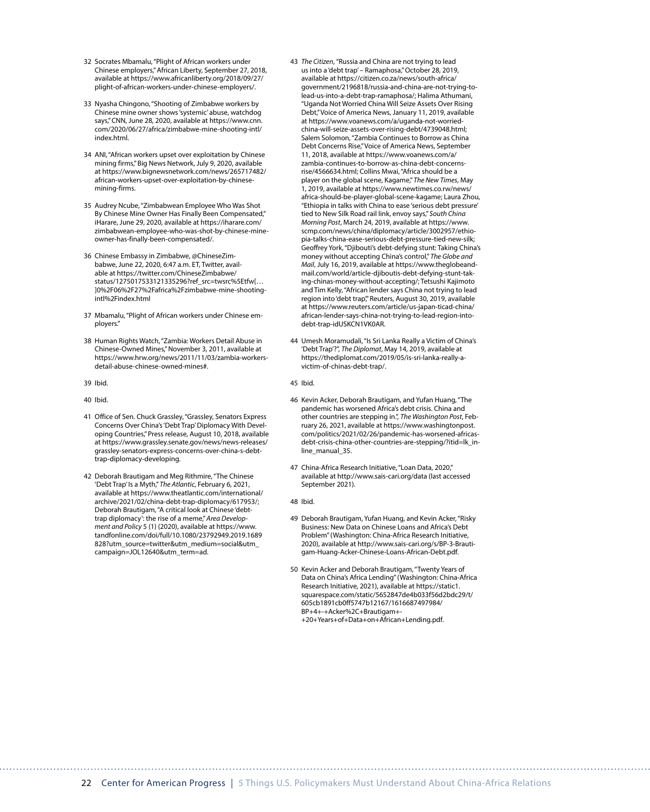- 32 Socrates Mbamalu, "Plight of African workers under Chinese employers," African Liberty, September 27, 2018, available at [https://www.africanliberty.org/2018/09/27/](https://www.africanliberty.org/2018/09/27/plight-of-african-workers-under-chinese-employers/) [plight-of-african-workers-under-chinese-employers/](https://www.africanliberty.org/2018/09/27/plight-of-african-workers-under-chinese-employers/).
- 33 Nyasha Chingono, "Shooting of Zimbabwe workers by Chinese mine owner shows 'systemic' abuse, watchdog says," CNN, June 28, 2020, available at [https://www.cnn.](https://www.cnn.com/2020/06/27/africa/zimbabwe-mine-shooting-intl/index.html) [com/2020/06/27/africa/zimbabwe-mine-shooting-intl/](https://www.cnn.com/2020/06/27/africa/zimbabwe-mine-shooting-intl/index.html) [index.html](https://www.cnn.com/2020/06/27/africa/zimbabwe-mine-shooting-intl/index.html).
- 34 ANI, "African workers upset over exploitation by Chinese mining firms," Big News Network, July 9, 2020, available at [https://www.bignewsnetwork.com/news/265717482/](https://www.bignewsnetwork.com/news/265717482/african-workers-upset-over-exploitation-by-chinese-mining-firms) [african-workers-upset-over-exploitation-by-chinese](https://www.bignewsnetwork.com/news/265717482/african-workers-upset-over-exploitation-by-chinese-mining-firms)[mining-firms.](https://www.bignewsnetwork.com/news/265717482/african-workers-upset-over-exploitation-by-chinese-mining-firms)
- 35 Audrey Ncube, "Zimbabwean Employee Who Was Shot By Chinese Mine Owner Has Finally Been Compensated," iHarare, June 29, 2020, available at [https://iharare.com/](https://iharare.com/zimbabwean-employee-who-was-shot-by-chinese-mine-owner-has-finally-been-compensated/) [zimbabwean-employee-who-was-shot-by-chinese-mine](https://iharare.com/zimbabwean-employee-who-was-shot-by-chinese-mine-owner-has-finally-been-compensated/)[owner-has-finally-been-compensated/](https://iharare.com/zimbabwean-employee-who-was-shot-by-chinese-mine-owner-has-finally-been-compensated/).
- 36 Chinese Embassy in Zimbabwe, @ChineseZimbabwe, June 22, 2020, 6:47 a.m. ET, Twitter, available at [https://twitter.com/ChineseZimbabwe/](https://twitter.com/ChineseZimbabwe/status/1275017533121335296?ref_src=twsrc%5Etfw%7Ctwcamp%5Etweetembed%7Ctwterm%5E1275017533121335296%7Ctwgr%5E%7Ctwcon%5Es1_&ref_url=https%3A%2F%2Fwww.cnn.com%2F2020%2F06%2F27%2Fafrica%2Fzimbabwe-mine-shooting-intl%2Findex.html) [status/1275017533121335296?ref\\_src=twsrc%5Etfw\[…](https://twitter.com/ChineseZimbabwe/status/1275017533121335296?ref_src=twsrc%5Etfw%7Ctwcamp%5Etweetembed%7Ctwterm%5E1275017533121335296%7Ctwgr%5E%7Ctwcon%5Es1_&ref_url=https%3A%2F%2Fwww.cnn.com%2F2020%2F06%2F27%2Fafrica%2Fzimbabwe-mine-shooting-intl%2Findex.html) [\]0%2F06%2F27%2Fafrica%2Fzimbabwe-mine-shooting](https://twitter.com/ChineseZimbabwe/status/1275017533121335296?ref_src=twsrc%5Etfw%7Ctwcamp%5Etweetembed%7Ctwterm%5E1275017533121335296%7Ctwgr%5E%7Ctwcon%5Es1_&ref_url=https%3A%2F%2Fwww.cnn.com%2F2020%2F06%2F27%2Fafrica%2Fzimbabwe-mine-shooting-intl%2Findex.html)[intl%2Findex.html](https://twitter.com/ChineseZimbabwe/status/1275017533121335296?ref_src=twsrc%5Etfw%7Ctwcamp%5Etweetembed%7Ctwterm%5E1275017533121335296%7Ctwgr%5E%7Ctwcon%5Es1_&ref_url=https%3A%2F%2Fwww.cnn.com%2F2020%2F06%2F27%2Fafrica%2Fzimbabwe-mine-shooting-intl%2Findex.html)
- 37 Mbamalu, "Plight of African workers under Chinese employers."
- 38 Human Rights Watch, "Zambia: Workers Detail Abuse in Chinese-Owned Mines," November 3, 2011, available at [https://www.hrw.org/news/2011/11/03/zambia-workers](https://www.hrw.org/news/2011/11/03/zambia-workers-detail-abuse-chinese-owned-mines)[detail-abuse-chinese-owned-mines#](https://www.hrw.org/news/2011/11/03/zambia-workers-detail-abuse-chinese-owned-mines).
- 39 Ibid.
- 40 Ibid.
- 41 Office of Sen. Chuck Grassley, "Grassley, Senators Express Concerns Over China's 'Debt Trap' Diplomacy With Developing Countries," Press release, August 10, 2018, available at [https://www.grassley.senate.gov/news/news-releases/](https://www.grassley.senate.gov/news/news-releases/grassley-senators-express-concerns-over-china-s-debt-trap-diplomacy-developing) [grassley-senators-express-concerns-over-china-s-debt](https://www.grassley.senate.gov/news/news-releases/grassley-senators-express-concerns-over-china-s-debt-trap-diplomacy-developing)[trap-diplomacy-developing.](https://www.grassley.senate.gov/news/news-releases/grassley-senators-express-concerns-over-china-s-debt-trap-diplomacy-developing)
- 42 Deborah Brautigam and Meg Rithmire, "The Chinese 'Debt Trap' Is a Myth," *The Atlantic*, February 6, 2021, available at [https://www.theatlantic.com/international/](https://www.theatlantic.com/international/archive/2021/02/china-debt-trap-diplomacy/617953/) [archive/2021/02/china-debt-trap-diplomacy/617953/](https://www.theatlantic.com/international/archive/2021/02/china-debt-trap-diplomacy/617953/); Deborah Brautigam, "A critical look at Chinese 'debttrap diplomacy': the rise of a meme," *Area Development and Policy* 5 (1) (2020), available at [https://www.](https://www.tandfonline.com/doi/full/10.1080/23792949.2019.1689828?utm_source=twitter&utm_medium=social&utm_campaign=JOL12640&utm_term=ad) [tandfonline.com/doi/full/10.1080/23792949.2019.1689](https://www.tandfonline.com/doi/full/10.1080/23792949.2019.1689828?utm_source=twitter&utm_medium=social&utm_campaign=JOL12640&utm_term=ad) [828?utm\\_source=twitter&utm\\_medium=social&utm\\_](https://www.tandfonline.com/doi/full/10.1080/23792949.2019.1689828?utm_source=twitter&utm_medium=social&utm_campaign=JOL12640&utm_term=ad) [campaign=JOL12640&utm\\_term=ad](https://www.tandfonline.com/doi/full/10.1080/23792949.2019.1689828?utm_source=twitter&utm_medium=social&utm_campaign=JOL12640&utm_term=ad).
- 43 *The Citizen*, "Russia and China are not trying to lead us into a 'debt trap' – Ramaphosa," October 28, 2019, available at [https://citizen.co.za/news/south-africa/](https://citizen.co.za/news/south-africa/government/2196818/russia-and-china-are-not-trying-to-lead-us-into-a-debt-trap-ramaphosa/) [government/2196818/russia-and-china-are-not-trying-to](https://citizen.co.za/news/south-africa/government/2196818/russia-and-china-are-not-trying-to-lead-us-into-a-debt-trap-ramaphosa/)[lead-us-into-a-debt-trap-ramaphosa/](https://citizen.co.za/news/south-africa/government/2196818/russia-and-china-are-not-trying-to-lead-us-into-a-debt-trap-ramaphosa/); Halima Athumani, "Uganda Not Worried China Will Seize Assets Over Rising Debt," Voice of America News, January 11, 2019, available at [https://www.voanews.com/a/uganda-not-worried](https://www.voanews.com/a/uganda-not-worried-china-will-seize-assets-over-rising-debt/4739048.html)[china-will-seize-assets-over-rising-debt/4739048.html](https://www.voanews.com/a/uganda-not-worried-china-will-seize-assets-over-rising-debt/4739048.html); Salem Solomon, "Zambia Continues to Borrow as China Debt Concerns Rise," Voice of America News, September 11, 2018, available at [https://www.voanews.com/a/](https://www.voanews.com/a/zambia-continues-to-borrow-as-china-debt-concerns-rise/4566634.html) [zambia-continues-to-borrow-as-china-debt-concerns](https://www.voanews.com/a/zambia-continues-to-borrow-as-china-debt-concerns-rise/4566634.html)[rise/4566634.html](https://www.voanews.com/a/zambia-continues-to-borrow-as-china-debt-concerns-rise/4566634.html); Collins Mwai, "Africa should be a player on the global scene, Kagame," *The New Times*, May 1, 2019, available at [https://www.newtimes.co.rw/news/](https://www.newtimes.co.rw/news/africa-should-be-player-global-scene-kagame) [africa-should-be-player-global-scene-kagame;](https://www.newtimes.co.rw/news/africa-should-be-player-global-scene-kagame) Laura Zhou, "Ethiopia in talks with China to ease 'serious debt pressure' tied to New Silk Road rail link, envoy says," *South China Morning Post*, March 24, 2019, available at [https://www.](https://www.scmp.com/news/china/diplomacy/article/3002957/ethiopia-talks-china-ease-serious-debt-pressure-tied-new-silk) [scmp.com/news/china/diplomacy/article/3002957/ethio](https://www.scmp.com/news/china/diplomacy/article/3002957/ethiopia-talks-china-ease-serious-debt-pressure-tied-new-silk)[pia-talks-china-ease-serious-debt-pressure-tied-new-silk](https://www.scmp.com/news/china/diplomacy/article/3002957/ethiopia-talks-china-ease-serious-debt-pressure-tied-new-silk); Geoffrey York, "Djibouti's debt-defying stunt: Taking China's money without accepting China's control," *The Globe and Mail*, July 16, 2019, available at [https://www.theglobeand](https://www.theglobeandmail.com/world/article-djiboutis-debt-defying-stunt-taking-chinas-money-without-accepting/)[mail.com/world/article-djiboutis-debt-defying-stunt-tak](https://www.theglobeandmail.com/world/article-djiboutis-debt-defying-stunt-taking-chinas-money-without-accepting/)[ing-chinas-money-without-accepting/](https://www.theglobeandmail.com/world/article-djiboutis-debt-defying-stunt-taking-chinas-money-without-accepting/); Tetsushi Kajimoto and Tim Kelly, "African lender says China not trying to lead region into 'debt trap" Reuters, August 30, 2019, available at [https://www.reuters.com/article/us-japan-ticad-china/](https://www.reuters.com/article/us-japan-ticad-china/african-lender-says-china-not-trying-to-lead-region-into-debt-trap-idUSKCN1VK0AR) [african-lender-says-china-not-trying-to-lead-region-into](https://www.reuters.com/article/us-japan-ticad-china/african-lender-says-china-not-trying-to-lead-region-into-debt-trap-idUSKCN1VK0AR)[debt-trap-idUSKCN1VK0AR](https://www.reuters.com/article/us-japan-ticad-china/african-lender-says-china-not-trying-to-lead-region-into-debt-trap-idUSKCN1VK0AR).
- 44 Umesh Moramudali, "Is Sri Lanka Really a Victim of China's 'Debt Trap'?", *The Diplomat*, May 14, 2019, available at [https://thediplomat.com/2019/05/is-sri-lanka-really-a](https://thediplomat.com/2019/05/is-sri-lanka-really-a-victim-of-chinas-debt-trap/)[victim-of-chinas-debt-trap/.](https://thediplomat.com/2019/05/is-sri-lanka-really-a-victim-of-chinas-debt-trap/)
- 45 Ibid.
- 46 Kevin Acker, Deborah Brautigam, and Yufan Huang, "The pandemic has worsened Africa's debt crisis. China and other countries are stepping in.", *The Washington Post*, February 26, 2021, available at [https://www.washingtonpost.](https://www.washingtonpost.com/politics/2021/02/26/pandemic-has-worsened-africas-debt-crisis-china-other-countries-are-stepping/?itid=lk_inline_manual_35) [com/politics/2021/02/26/pandemic-has-worsened-africas](https://www.washingtonpost.com/politics/2021/02/26/pandemic-has-worsened-africas-debt-crisis-china-other-countries-are-stepping/?itid=lk_inline_manual_35)[debt-crisis-china-other-countries-are-stepping/?itid=lk\\_in](https://www.washingtonpost.com/politics/2021/02/26/pandemic-has-worsened-africas-debt-crisis-china-other-countries-are-stepping/?itid=lk_inline_manual_35)[line\\_manual\\_35](https://www.washingtonpost.com/politics/2021/02/26/pandemic-has-worsened-africas-debt-crisis-china-other-countries-are-stepping/?itid=lk_inline_manual_35).
- 47 China-Africa Research Initiative, "Loan Data, 2020," available at<http://www.sais-cari.org/data>(last accessed September 2021).
- 48 Ibid.
- 49 Deborah Brautigam, Yufan Huang, and Kevin Acker, "Risky Business: New Data on Chinese Loans and Africa's Debt Problem" (Washington: China-Africa Research Initiative, 2020), available at [http://www.sais-cari.org/s/BP-3-Brauti](http://www.sais-cari.org/s/BP-3-Brautigam-Huang-Acker-Chinese-Loans-African-Debt.pdf.)[gam-Huang-Acker-Chinese-Loans-African-Debt.pdf.](http://www.sais-cari.org/s/BP-3-Brautigam-Huang-Acker-Chinese-Loans-African-Debt.pdf.)
- 50 Kevin Acker and Deborah Brautigam, "Twenty Years of Data on China's Africa Lending" (Washington: China-Africa Research Initiative, 2021), available at [https://static1.](https://static1.squarespace.com/static/5652847de4b033f56d2bdc29/t/605cb1891cb0ff5747b12167/1616687497984/BP+4+-+Acker%2C+Brautigam+-+20+Years+of+Data+on+African+Lending.pdf) [squarespace.com/static/5652847de4b033f56d2bdc29/t/](https://static1.squarespace.com/static/5652847de4b033f56d2bdc29/t/605cb1891cb0ff5747b12167/1616687497984/BP+4+-+Acker%2C+Brautigam+-+20+Years+of+Data+on+African+Lending.pdf) [605cb1891cb0ff5747b12167/1616687497984/](https://static1.squarespace.com/static/5652847de4b033f56d2bdc29/t/605cb1891cb0ff5747b12167/1616687497984/BP+4+-+Acker%2C+Brautigam+-+20+Years+of+Data+on+African+Lending.pdf) [BP+4+-+Acker%2C+Brautigam+-](https://static1.squarespace.com/static/5652847de4b033f56d2bdc29/t/605cb1891cb0ff5747b12167/1616687497984/BP+4+-+Acker%2C+Brautigam+-+20+Years+of+Data+on+African+Lending.pdf) [+20+Years+of+Data+on+African+Lending.pdf.](https://static1.squarespace.com/static/5652847de4b033f56d2bdc29/t/605cb1891cb0ff5747b12167/1616687497984/BP+4+-+Acker%2C+Brautigam+-+20+Years+of+Data+on+African+Lending.pdf)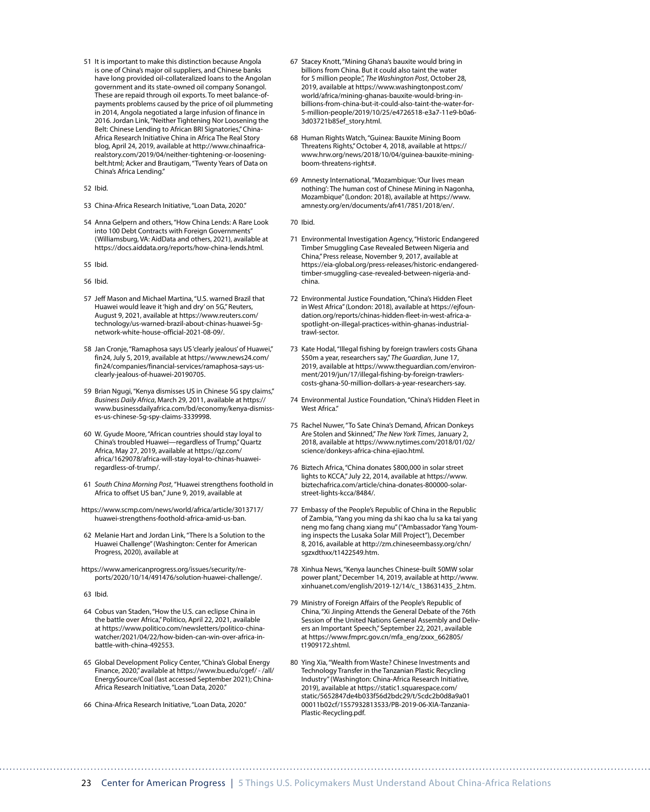- 51 It is important to make this distinction because Angola is one of China's major oil suppliers, and Chinese banks have long provided oil-collateralized loans to the Angolan government and its state-owned oil company Sonangol. These are repaid through oil exports. To meet balance-ofpayments problems caused by the price of oil plummeting in 2014, Angola negotiated a large infusion of finance in 2016. Jordan Link, "Neither Tightening Nor Loosening the Belt: Chinese Lending to African BRI Signatories," China-Africa Research Initiative China in Africa The Real Story blog, April 24, 2019, available at [http://www.chinaafrica](http://www.chinaafricarealstory.com/2019/04/neither-tightening-or-loosening-belt.html)[realstory.com/2019/04/neither-tightening-or-loosening](http://www.chinaafricarealstory.com/2019/04/neither-tightening-or-loosening-belt.html)[belt.html;](http://www.chinaafricarealstory.com/2019/04/neither-tightening-or-loosening-belt.html) Acker and Brautigam, "Twenty Years of Data on China's Africa Lending."
- 52 Ibid.

53 China-Africa Research Initiative, "Loan Data, 2020."

- 54 Anna Gelpern and others, "How China Lends: A Rare Look into 100 Debt Contracts with Foreign Governments" (Williamsburg, VA: AidData and others, 2021), available at <https://docs.aiddata.org/reports/how-china-lends.html>.
- 55 Ibid.
- 56 Ibid.
- 57 Jeff Mason and Michael Martina, "U.S. warned Brazil that Huawei would leave it 'high and dry' on 5G," Reuters, August 9, 2021, available at [https://www.reuters.com/](https://www.reuters.com/technology/us-warned-brazil-about-chinas-huawei-5g-network-white-house-official-2021-08-09/) [technology/us-warned-brazil-about-chinas-huawei-5g](https://www.reuters.com/technology/us-warned-brazil-about-chinas-huawei-5g-network-white-house-official-2021-08-09/)[network-white-house-official-2021-08-09/.](https://www.reuters.com/technology/us-warned-brazil-about-chinas-huawei-5g-network-white-house-official-2021-08-09/)
- 58 Jan Cronje, "Ramaphosa says US 'clearly jealous' of Huawei," fin24, July 5, 2019, available at [https://www.news24.com/](https://www.news24.com/fin24/companies/financial-services/ramaphosa-says-us-clearly-jealous-of-huawei-20190705) [fin24/companies/financial-services/ramaphosa-says-us](https://www.news24.com/fin24/companies/financial-services/ramaphosa-says-us-clearly-jealous-of-huawei-20190705)[clearly-jealous-of-huawei-20190705.](https://www.news24.com/fin24/companies/financial-services/ramaphosa-says-us-clearly-jealous-of-huawei-20190705)
- 59 Brian Ngugi, "Kenya dismisses US in Chinese 5G spy claims," *Business Daily Africa*, March 29, 2011, available at [https://](https://www.businessdailyafrica.com/bd/economy/kenya-dismisses-us-chinese-5g-spy-claims-3339998) [www.businessdailyafrica.com/bd/economy/kenya-dismiss](https://www.businessdailyafrica.com/bd/economy/kenya-dismisses-us-chinese-5g-spy-claims-3339998)[es-us-chinese-5g-spy-claims-3339998.](https://www.businessdailyafrica.com/bd/economy/kenya-dismisses-us-chinese-5g-spy-claims-3339998)
- 60 W. Gyude Moore, "African countries should stay loyal to China's troubled Huawei—regardless of Trump," Quartz Africa, May 27, 2019, available at [https://qz.com/](https://qz.com/africa/1629078/africa-will-stay-loyal-to-chinas-huawei-regardless-of-trump/) [africa/1629078/africa-will-stay-loyal-to-chinas-huawei](https://qz.com/africa/1629078/africa-will-stay-loyal-to-chinas-huawei-regardless-of-trump/)[regardless-of-trump/.](https://qz.com/africa/1629078/africa-will-stay-loyal-to-chinas-huawei-regardless-of-trump/)
- 61 *South China Morning Post*, "Huawei strengthens foothold in Africa to offset US ban," June 9, 2019, available at
- [https://www.scmp.com/news/world/africa/article/3013717/](https://www.scmp.com/news/world/africa/article/3013717/huawei-strengthens-foothold-africa-amid-us-ban) [huawei-strengthens-foothold-africa-amid-us-ban.](https://www.scmp.com/news/world/africa/article/3013717/huawei-strengthens-foothold-africa-amid-us-ban)
- 62 Melanie Hart and Jordan Link, "There Is a Solution to the Huawei Challenge" (Washington: Center for American Progress, 2020), available at
- [https://www.americanprogress.org/issues/security/re](https://www.americanprogress.org/issues/security/reports/2020/10/14/491476/solution-huawei-challenge/)[ports/2020/10/14/491476/solution-huawei-challenge/.](https://www.americanprogress.org/issues/security/reports/2020/10/14/491476/solution-huawei-challenge/)
- 63 Ibid.
- 64 Cobus van Staden, "How the U.S. can eclipse China in the battle over Africa," Politico, April 22, 2021, available at [https://www.politico.com/newsletters/politico-china](https://www.politico.com/newsletters/politico-china-watcher/2021/04/22/how-biden-can-win-over-africa-in-battle-with-china-492553)[watcher/2021/04/22/how-biden-can-win-over-africa-in](https://www.politico.com/newsletters/politico-china-watcher/2021/04/22/how-biden-can-win-over-africa-in-battle-with-china-492553)[battle-with-china-492553](https://www.politico.com/newsletters/politico-china-watcher/2021/04/22/how-biden-can-win-over-africa-in-battle-with-china-492553).
- 65 Global Development Policy Center, "China's Global Energy Finance, 2020," available at https://www.bu.edu/cgef/ - /all/ EnergySource/Coal (last accessed September 2021); China-Africa Research Initiative, "Loan Data, 2020."
- 66 China-Africa Research Initiative, "Loan Data, 2020."
- 67 Stacey Knott, "Mining Ghana's bauxite would bring in billions from China. But it could also taint the water for 5 million people.", *The Washington Post*, October 28, 2019, available at [https://www.washingtonpost.com/](https://www.washingtonpost.com/world/africa/mining-ghanas-bauxite-would-bring-in-billions-from-china-but-it-could-also-taint-the-water-for-5-million-people/2019/10/25/e4726518-e3a7-11e9-b0a6-3d03721b85ef_story.html) [world/africa/mining-ghanas-bauxite-would-bring-in](https://www.washingtonpost.com/world/africa/mining-ghanas-bauxite-would-bring-in-billions-from-china-but-it-could-also-taint-the-water-for-5-million-people/2019/10/25/e4726518-e3a7-11e9-b0a6-3d03721b85ef_story.html)[billions-from-china-but-it-could-also-taint-the-water-for-](https://www.washingtonpost.com/world/africa/mining-ghanas-bauxite-would-bring-in-billions-from-china-but-it-could-also-taint-the-water-for-5-million-people/2019/10/25/e4726518-e3a7-11e9-b0a6-3d03721b85ef_story.html)[5-million-people/2019/10/25/e4726518-e3a7-11e9-b0a6-](https://www.washingtonpost.com/world/africa/mining-ghanas-bauxite-would-bring-in-billions-from-china-but-it-could-also-taint-the-water-for-5-million-people/2019/10/25/e4726518-e3a7-11e9-b0a6-3d03721b85ef_story.html) [3d03721b85ef\\_story.html.](https://www.washingtonpost.com/world/africa/mining-ghanas-bauxite-would-bring-in-billions-from-china-but-it-could-also-taint-the-water-for-5-million-people/2019/10/25/e4726518-e3a7-11e9-b0a6-3d03721b85ef_story.html)
- 68 Human Rights Watch, "Guinea: Bauxite Mining Boom Threatens Rights," October 4, 2018, available at [https://](https://www.hrw.org/news/2018/10/04/guinea-bauxite-mining-boom-threatens-rights) [www.hrw.org/news/2018/10/04/guinea-bauxite-mining](https://www.hrw.org/news/2018/10/04/guinea-bauxite-mining-boom-threatens-rights)[boom-threatens-rights#.](https://www.hrw.org/news/2018/10/04/guinea-bauxite-mining-boom-threatens-rights)
- 69 Amnesty International, "Mozambique: 'Our lives mean nothing': The human cost of Chinese Mining in Nagonha, Mozambique" (London: 2018), available at [https://www.](https://www.amnesty.org/en/documents/afr41/7851/2018/en/) [amnesty.org/en/documents/afr41/7851/2018/en/](https://www.amnesty.org/en/documents/afr41/7851/2018/en/).
- 70 Ibid.
- 71 Environmental Investigation Agency, "Historic Endangered Timber Smuggling Case Revealed Between Nigeria and China," Press release, November 9, 2017, available at [https://eia-global.org/press-releases/historic-endangered](https://eia-global.org/press-releases/historic-endangered-timber-smuggling-case-revealed-between-nigeria-and-china)[timber-smuggling-case-revealed-between-nigeria-and](https://eia-global.org/press-releases/historic-endangered-timber-smuggling-case-revealed-between-nigeria-and-china)[china.](https://eia-global.org/press-releases/historic-endangered-timber-smuggling-case-revealed-between-nigeria-and-china)
- 72 Environmental Justice Foundation, "China's Hidden Fleet in West Africa" (London: 2018), available at [https://ejfoun](https://ejfoundation.org/reports/chinas-hidden-fleet-in-west-africa-a-spotlight-on-illegal-practices-within-ghanas-industrial-trawl-sector)[dation.org/reports/chinas-hidden-fleet-in-west-africa-a](https://ejfoundation.org/reports/chinas-hidden-fleet-in-west-africa-a-spotlight-on-illegal-practices-within-ghanas-industrial-trawl-sector)[spotlight-on-illegal-practices-within-ghanas-industrial](https://ejfoundation.org/reports/chinas-hidden-fleet-in-west-africa-a-spotlight-on-illegal-practices-within-ghanas-industrial-trawl-sector)[trawl-sector.](https://ejfoundation.org/reports/chinas-hidden-fleet-in-west-africa-a-spotlight-on-illegal-practices-within-ghanas-industrial-trawl-sector)
- 73 Kate Hodal, "Illegal fishing by foreign trawlers costs Ghana \$50m a year, researchers say," *The Guardian*,June 17, 2019, available at [https://www.theguardian.com/environ](https://www.theguardian.com/environment/2019/jun/17/illegal-fishing-by-foreign-trawlers-costs-ghana-50-million-dollars-a-year-researchers-say)[ment/2019/jun/17/illegal-fishing-by-foreign-trawlers](https://www.theguardian.com/environment/2019/jun/17/illegal-fishing-by-foreign-trawlers-costs-ghana-50-million-dollars-a-year-researchers-say)[costs-ghana-50-million-dollars-a-year-researchers-say](https://www.theguardian.com/environment/2019/jun/17/illegal-fishing-by-foreign-trawlers-costs-ghana-50-million-dollars-a-year-researchers-say).
- 74 Environmental Justice Foundation, "China's Hidden Fleet in West Africa."
- 75 Rachel Nuwer, "To Sate China's Demand, African Donkeys Are Stolen and Skinned," *The New York Times*, January 2, 2018, available at [https://www.nytimes.com/2018/01/02/](https://www.nytimes.com/2018/01/02/science/donkeys-africa-china-ejiao.html) [science/donkeys-africa-china-ejiao.html.](https://www.nytimes.com/2018/01/02/science/donkeys-africa-china-ejiao.html)
- 76 Biztech Africa, "China donates \$800,000 in solar street lights to KCCA," July 22, 2014, available at [https://www.](https://www.biztechafrica.com/article/china-donates-800000-solar-street-lights-kcca/8484/) [biztechafrica.com/article/china-donates-800000-solar](https://www.biztechafrica.com/article/china-donates-800000-solar-street-lights-kcca/8484/)[street-lights-kcca/8484/](https://www.biztechafrica.com/article/china-donates-800000-solar-street-lights-kcca/8484/).
- 77 Embassy of the People's Republic of China in the Republic of Zambia, "Yang you ming da shi kao cha lu sa ka tai yang neng mo fang chang xiang mu" ("Ambassador Yang Youming inspects the Lusaka Solar Mill Project"), December 8, 2016, available at [http://zm.chineseembassy.org/chn/](http://zm.chineseembassy.org/chn/sgzxdthxx/t1422549.htm) [sgzxdthxx/t1422549.htm.](http://zm.chineseembassy.org/chn/sgzxdthxx/t1422549.htm)
- 78 Xinhua News, "Kenya launches Chinese-built 50MW solar power plant," December 14, 2019, available at [http://www.](http://www.xinhuanet.com/english/2019-12/14/c_138631435_2.htm) [xinhuanet.com/english/2019-12/14/c\\_138631435\\_2.htm](http://www.xinhuanet.com/english/2019-12/14/c_138631435_2.htm).
- 79 Ministry of Foreign Affairs of the People's Republic of China, "Xi Jinping Attends the General Debate of the 76th Session of the United Nations General Assembly and Delivers an Important Speech," September 22, 2021, available at [https://www.fmprc.gov.cn/mfa\\_eng/zxxx\\_662805/](https://www.fmprc.gov.cn/mfa_eng/zxxx_662805/t1909172.shtml) [t1909172.shtml](https://www.fmprc.gov.cn/mfa_eng/zxxx_662805/t1909172.shtml).
- 80 Ying Xia, "Wealth from Waste? Chinese Investments and Technology Transfer in the Tanzanian Plastic Recycling Industry" (Washington: China-Africa Research Initiative, 2019), available at [https://static1.squarespace.com/](https://static1.squarespace.com/static/5652847de4b033f56d2bdc29/t/5cdc2b0d8a9a0100011b02cf/1557932813533/PB-2019-06-XIA-Tanzania-Plastic-Recycling.pdf) [static/5652847de4b033f56d2bdc29/t/5cdc2b0d8a9a01](https://static1.squarespace.com/static/5652847de4b033f56d2bdc29/t/5cdc2b0d8a9a0100011b02cf/1557932813533/PB-2019-06-XIA-Tanzania-Plastic-Recycling.pdf) [00011b02cf/1557932813533/PB-2019-06-XIA-Tanzania-](https://static1.squarespace.com/static/5652847de4b033f56d2bdc29/t/5cdc2b0d8a9a0100011b02cf/1557932813533/PB-2019-06-XIA-Tanzania-Plastic-Recycling.pdf)[Plastic-Recycling.pdf.](https://static1.squarespace.com/static/5652847de4b033f56d2bdc29/t/5cdc2b0d8a9a0100011b02cf/1557932813533/PB-2019-06-XIA-Tanzania-Plastic-Recycling.pdf)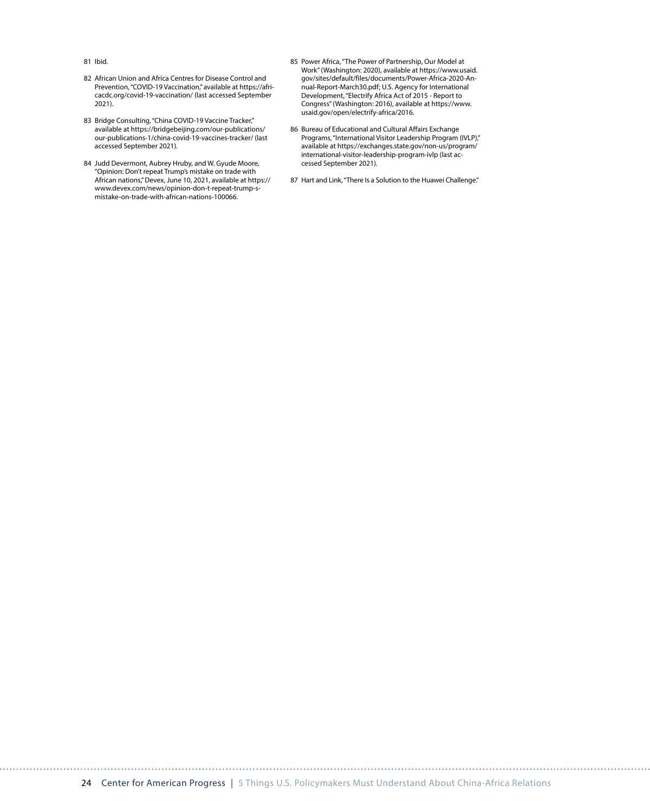81 Ibid.

- 82 African Union and Africa Centres for Disease Control and Prevention, "COVID-19 Vaccination," available at [https://afri](https://africacdc.org/covid-19-vaccination/)[cacdc.org/covid-19-vaccination/](https://africacdc.org/covid-19-vaccination/) (last accessed September 2021).
- 83 Bridge Consulting, "China COVID-19 Vaccine Tracker," available at [https://bridgebeijing.com/our-publications/](https://bridgebeijing.com/our-publications/our-publications-1/china-covid-19-vaccines-tracker/) [our-publications-1/china-covid-19-vaccines-tracker/](https://bridgebeijing.com/our-publications/our-publications-1/china-covid-19-vaccines-tracker/) (last accessed September 2021).
- 84 Judd Devermont, Aubrey Hruby, and W. Gyude Moore, "Opinion: Don't repeat Trump's mistake on trade with African nations," Devex, June 10, 2021, available at [https://](https://www.devex.com/news/opinion-don-t-repeat-trump-s-mistake-on-trade-with-african-nations-100066) [www.devex.com/news/opinion-don-t-repeat-trump-s](https://www.devex.com/news/opinion-don-t-repeat-trump-s-mistake-on-trade-with-african-nations-100066)[mistake-on-trade-with-african-nations-100066.](https://www.devex.com/news/opinion-don-t-repeat-trump-s-mistake-on-trade-with-african-nations-100066)
- 85 Power Africa, "The Power of Partnership, Our Model at Work" (Washington: 2020), available at [https://www.usaid.](https://www.usaid.gov/sites/default/files/documents/Power-Africa-2020-Annual-Report-March30.pdf) [gov/sites/default/files/documents/Power-Africa-2020-An](https://www.usaid.gov/sites/default/files/documents/Power-Africa-2020-Annual-Report-March30.pdf)[nual-Report-March30.pdf;](https://www.usaid.gov/sites/default/files/documents/Power-Africa-2020-Annual-Report-March30.pdf) U.S. Agency for International Development, "Electrify Africa Act of 2015 - Report to Congress" (Washington: 2016), available at [https://www.](https://www.usaid.gov/open/electrify-africa/2016) [usaid.gov/open/electrify-africa/2016.](https://www.usaid.gov/open/electrify-africa/2016)
- 86 Bureau of Educational and Cultural Affairs Exchange Programs, "International Visitor Leadership Program (IVLP)," available at [https://exchanges.state.gov/non-us/program/](https://exchanges.state.gov/non-us/program/international-visitor-leadership-program-ivlp) [international-visitor-leadership-program-ivlp](https://exchanges.state.gov/non-us/program/international-visitor-leadership-program-ivlp) (last accessed September 2021).
- 87 Hart and Link, "There Is a Solution to the Huawei Challenge."